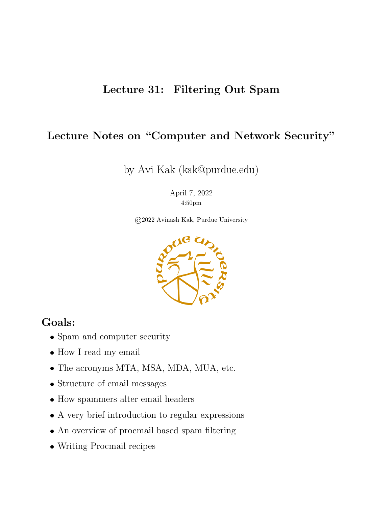#### Lecture 31: Filtering Out Spam

#### Lecture Notes on "Computer and Network Security"

by Avi Kak (kak@purdue.edu)

April 7, 2022 4:50pm

©2022 Avinash Kak, Purdue University



#### Goals:

- Spam and computer security
- How I read my email
- The acronyms MTA, MSA, MDA, MUA, etc.
- Structure of email messages
- How spammers alter email headers
- A very brief introduction to regular expressions
- An overview of procmail based spam filtering
- Writing Procmail recipes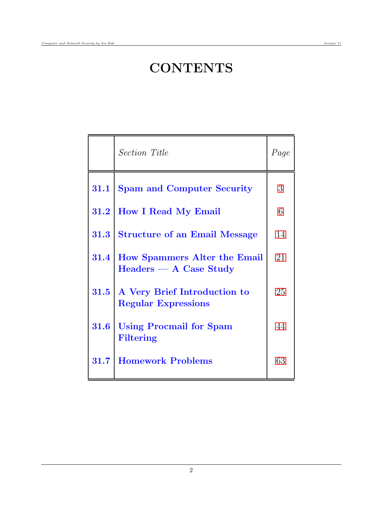### **CONTENTS**

<span id="page-1-0"></span>

|             | <i>Section Title</i>                                            | Page |
|-------------|-----------------------------------------------------------------|------|
| 31.1        | <b>Spam and Computer Security</b>                               | 3    |
| $\bf{31.2}$ | <b>How I Read My Email</b>                                      | 6    |
| 31.3        | <b>Structure of an Email Message</b>                            | 14   |
| 31.4        | <b>How Spammers Alter the Email</b><br>$Headers - A Case Study$ | 21   |
| 31.5        | A Very Brief Introduction to<br><b>Regular Expressions</b>      | 25   |
| 31.6        | <b>Using Procmail for Spam</b><br>Filtering                     | 44   |
| 31.7        | <b>Homework Problems</b>                                        | 63   |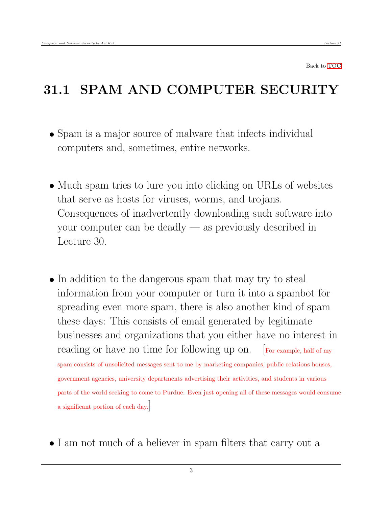<span id="page-2-0"></span>Back to [TOC](#page-1-0)

## 31.1 SPAM AND COMPUTER SECURITY

- Spam is a major source of malware that infects individual computers and, sometimes, entire networks.
- Much spam tries to lure you into clicking on URLs of websites that serve as hosts for viruses, worms, and trojans. Consequences of inadvertently downloading such software into your computer can be deadly — as previously described in Lecture 30.
- In addition to the dangerous spam that may try to steal information from your computer or turn it into a spambot for spreading even more spam, there is also another kind of spam these days: This consists of email generated by legitimate businesses and organizations that you either have no interest in reading or have no time for following up on.  $\left[\text{For example, half of my}\right]$ spam consists of unsolicited messages sent to me by marketing companies, public relations houses, government agencies, university departments advertising their activities, and students in various parts of the world seeking to come to Purdue. Even just opening all of these messages would consume a significant portion of each day.]
- I am not much of a believer in spam filters that carry out a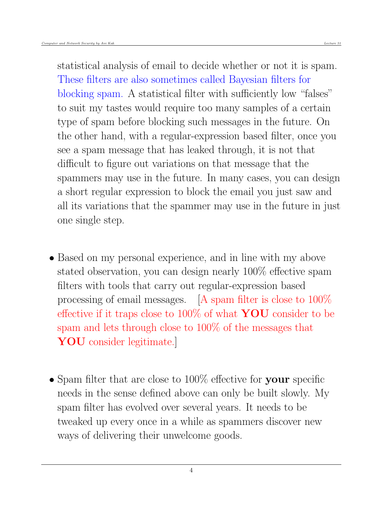statistical analysis of email to decide whether or not it is spam. These filters are also sometimes called Bayesian filters for blocking spam. A statistical filter with sufficiently low "falses" to suit my tastes would require too many samples of a certain type of spam before blocking such messages in the future. On the other hand, with a regular-expression based filter, once you see a spam message that has leaked through, it is not that difficult to figure out variations on that message that the spammers may use in the future. In many cases, you can design a short regular expression to block the email you just saw and all its variations that the spammer may use in the future in just one single step.

- Based on my personal experience, and in line with my above stated observation, you can design nearly 100% effective spam filters with tools that carry out regular-expression based processing of email messages. [A spam filter is close to 100% effective if it traps close to  $100\%$  of what **YOU** consider to be spam and lets through close to 100% of the messages that YOU consider legitimate.
- $\bullet$  Spam filter that are close to 100% effective for **your** specific needs in the sense defined above can only be built slowly. My spam filter has evolved over several years. It needs to be tweaked up every once in a while as spammers discover new ways of delivering their unwelcome goods.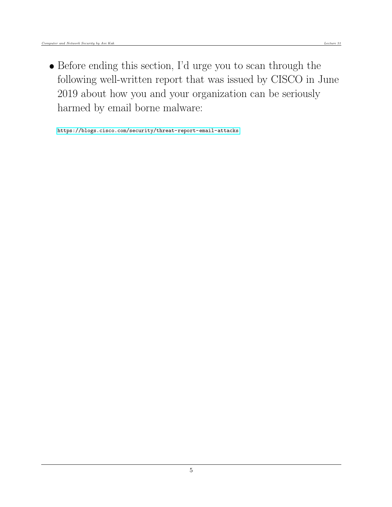Before ending this section, I'd urge you to scan through the following well-written report that was issued by CISCO in June 2019 about how you and your organization can be seriously harmed by email borne malware:

<https://blogs.cisco.com/security/threat-report-email-attacks>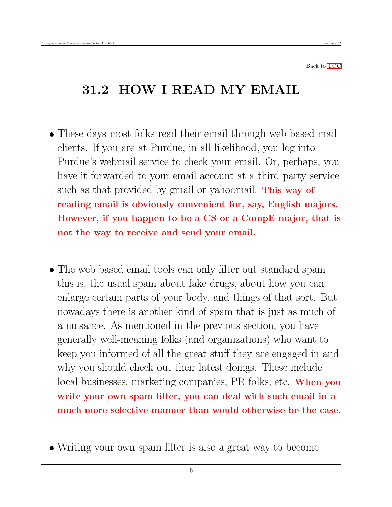<span id="page-5-0"></span>Back to [TOC](#page-1-0)

## 31.2 HOW I READ MY EMAIL

- These days most folks read their email through web based mail clients. If you are at Purdue, in all likelihood, you log into Purdue's webmail service to check your email. Or, perhaps, you have it forwarded to your email account at a third party service such as that provided by gmail or yahoomail. This way of reading email is obviously convenient for, say, English majors. However, if you happen to be a CS or a CompE major, that is not the way to receive and send your email.
- The web based email tools can only filter out standard spam  $$ this is, the usual spam about fake drugs, about how you can enlarge certain parts of your body, and things of that sort. But nowadays there is another kind of spam that is just as much of a nuisance. As mentioned in the previous section, you have generally well-meaning folks (and organizations) who want to keep you informed of all the great stuff they are engaged in and why you should check out their latest doings. These include local businesses, marketing companies, PR folks, etc. When you write your own spam filter, you can deal with such email in a much more selective manner than would otherwise be the case.
- Writing your own spam filter is also a great way to become

6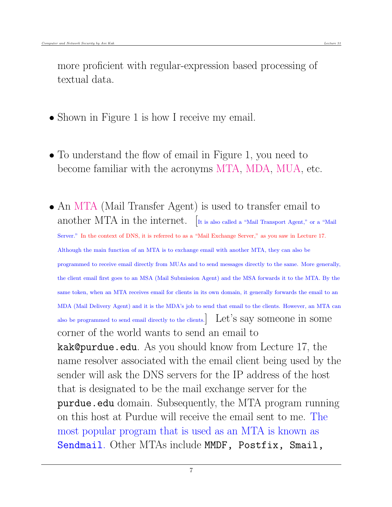more proficient with regular-expression based processing of textual data.

- Shown in Figure 1 is how I receive my email.
- To understand the flow of email in Figure 1, you need to become familiar with the acronyms MTA, MDA, MUA, etc.
- An MTA (Mail Transfer Agent) is used to transfer email to another MTA in the internet. [It is also called a "Mail Transport Agent," or a "Mail Server." In the context of DNS, it is referred to as a "Mail Exchange Server," as you saw in Lecture 17. Although the main function of an MTA is to exchange email with another MTA, they can also be programmed to receive email directly from MUAs and to send messages directly to the same. More generally, the client email first goes to an MSA (Mail Submission Agent) and the MSA forwards it to the MTA. By the same token, when an MTA receives email for clients in its own domain, it generally forwards the email to an MDA (Mail Delivery Agent) and it is the MDA's job to send that email to the clients. However, an MTA can also be programmed to send email directly to the clients. Let's say someone in some corner of the world wants to send an email to kak@purdue.edu. As you should know from Lecture 17, the name resolver associated with the email client being used by the sender will ask the DNS servers for the IP address of the host that is designated to be the mail exchange server for the purdue.edu domain. Subsequently, the MTA program running on this host at Purdue will receive the email sent to me. The most popular program that is used as an MTA is known as Sendmail. Other MTAs include MMDF, Postfix, Smail,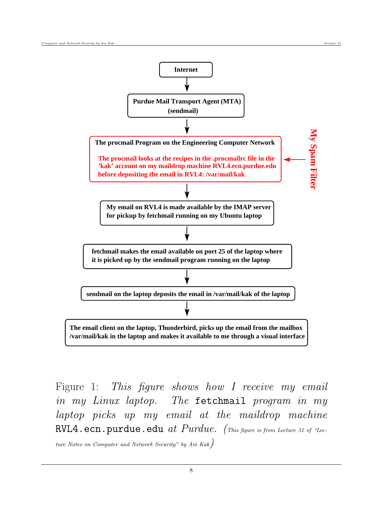

Figure 1: This figure shows how I receive my email in my Linux laptop. The fetchmail program in my laptop picks up my email at the maildrop machine  $RVL4$ .ecn.purdue.edu at  $Purdue$ . (This figure is from Lecture 31 of "Lec-

ture Notes on Computer and Network Security" by Avi Kak)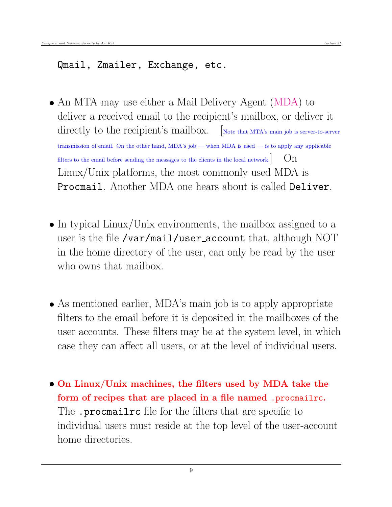#### Qmail, Zmailer, Exchange, etc.

- An MTA may use either a Mail Delivery Agent (MDA) to deliver a received email to the recipient's mailbox, or deliver it directly to the recipient's mailbox. [Note that MTA's main job is server-to-server transmission of email. On the other hand, MDA's job — when MDA is used — is to apply any applicable filters to the email before sending the messages to the clients in the local network.  $\Box$  On Linux/Unix platforms, the most commonly used MDA is Procmail. Another MDA one hears about is called Deliver.
- $\bullet$  In typical Linux/Unix environments, the mailbox assigned to a user is the file /var/mail/user account that, although NOT in the home directory of the user, can only be read by the user who owns that mailbox.
- As mentioned earlier, MDA's main job is to apply appropriate filters to the email before it is deposited in the mailboxes of the user accounts. These filters may be at the system level, in which case they can affect all users, or at the level of individual users.
- On Linux/Unix machines, the filters used by MDA take the form of recipes that are placed in a file named .procmailrc. The **procmailrc** file for the filters that are specific to individual users must reside at the top level of the user-account home directories.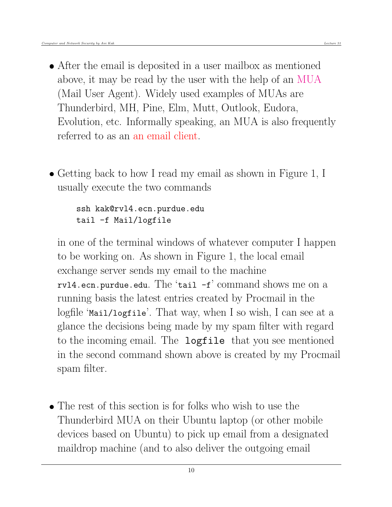- After the email is deposited in a user mailbox as mentioned above, it may be read by the user with the help of an MUA (Mail User Agent). Widely used examples of MUAs are Thunderbird, MH, Pine, Elm, Mutt, Outlook, Eudora, Evolution, etc. Informally speaking, an MUA is also frequently referred to as an an email client.
- Getting back to how I read my email as shown in Figure 1, I usually execute the two commands

```
ssh kak@rvl4.ecn.purdue.edu
tail -f Mail/logfile
```
in one of the terminal windows of whatever computer I happen to be working on. As shown in Figure 1, the local email exchange server sends my email to the machine rvl4.ecn.purdue.edu. The 'tail -f' command shows me on a running basis the latest entries created by Procmail in the logfile 'Mail/logfile'. That way, when I so wish, I can see at a glance the decisions being made by my spam filter with regard to the incoming email. The logfile that you see mentioned in the second command shown above is created by my Procmail spam filter.

 The rest of this section is for folks who wish to use the Thunderbird MUA on their Ubuntu laptop (or other mobile devices based on Ubuntu) to pick up email from a designated maildrop machine (and to also deliver the outgoing email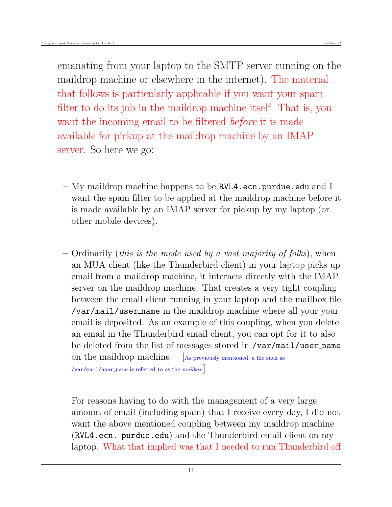emanating from your laptop to the SMTP server running on the maildrop machine or elsewhere in the internet). The material

that follows is particularly applicable if you want your spam filter to do its job in the maildrop machine itself. That is, you want the incoming email to be filtered *before* it is made available for pickup at the maildrop machine by an IMAP server. So here we go:

- My maildrop machine happens to be RVL4.ecn.purdue.edu and I want the spam filter to be applied at the maildrop machine before it is made available by an IMAP server for pickup by my laptop (or other mobile devices).
- $-$  Ordinarily (this is the mode used by a vast majority of folks), when an MUA client (like the Thunderbird client) in your laptop picks up email from a maildrop machine, it interacts directly with the IMAP server on the maildrop machine. That creates a very tight coupling between the email client running in your laptop and the mailbox file /var/mail/user name in the maildrop machine where all your your email is deposited. As an example of this coupling, when you delete an email in the Thunderbird email client, you can opt for it to also be deleted from the list of messages stored in /var/mail/user name on the maildrop machine.  $\vert$  As previously mentioned, a file such as

/var/mail/user name is referred to as the mailbox.]

– For reasons having to do with the management of a very large amount of email (including spam) that I receive every day, I did not want the above mentioned coupling between my maildrop machine (RVL4.ecn. purdue.edu) and the Thunderbird email client on my laptop. What that implied was that I needed to run Thunderbird off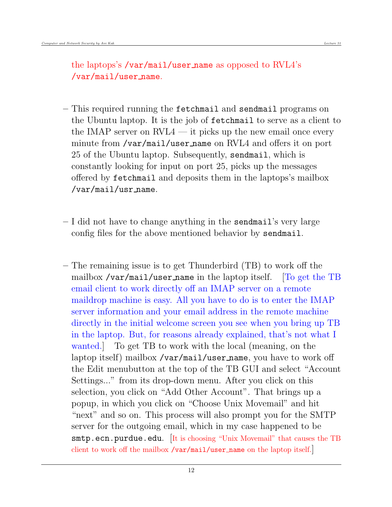the laptops's /var/mail/user name as opposed to RVL4's /var/mail/user name.

- This required running the fetchmail and sendmail programs on the Ubuntu laptop. It is the job of fetchmail to serve as a client to the IMAP server on  $RVL4$  — it picks up the new email once every minute from /var/mail/user\_name on RVL4 and offers it on port 25 of the Ubuntu laptop. Subsequently, sendmail, which is constantly looking for input on port 25, picks up the messages offered by fetchmail and deposits them in the laptops's mailbox /var/mail/usr name.
- I did not have to change anything in the sendmail's very large config files for the above mentioned behavior by sendmail.
- The remaining issue is to get Thunderbird (TB) to work off the mailbox /var/mail/user name in the laptop itself.  $\Box$  To get the TB email client to work directly off an IMAP server on a remote maildrop machine is easy. All you have to do is to enter the IMAP server information and your email address in the remote machine directly in the initial welcome screen you see when you bring up TB in the laptop. But, for reasons already explained, that's not what I wanted.] To get TB to work with the local (meaning, on the laptop itself) mailbox /var/mail/user name, you have to work off the Edit menubutton at the top of the TB GUI and select "Account Settings..." from its drop-down menu. After you click on this selection, you click on "Add Other Account". That brings up a popup, in which you click on "Choose Unix Movemail" and hit "next" and so on. This process will also prompt you for the SMTP server for the outgoing email, which in my case happened to be  $s$ mtp.ecn.purdue.edu. It is choosing "Unix Movemail" that causes the TB client to work off the mailbox /var/mail/user\_name on the laptop itself.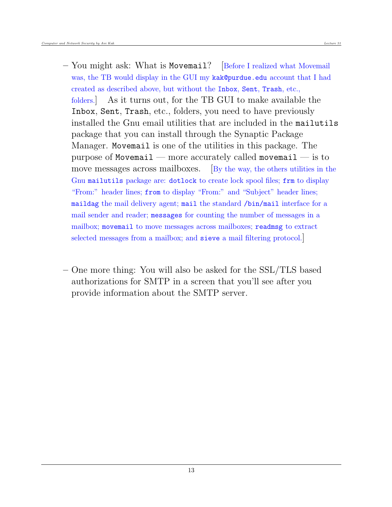- You might ask: What is Movemail? [Before I realized what Movemail was, the TB would display in the GUI my kak@purdue.edu account that I had created as described above, but without the Inbox, Sent, Trash, etc., folders.] As it turns out, for the TB GUI to make available the Inbox, Sent, Trash, etc., folders, you need to have previously installed the Gnu email utilities that are included in the mailutils package that you can install through the Synaptic Package Manager. Movemail is one of the utilities in this package. The purpose of Movemail — more accurately called movemail — is to move messages across mailboxes. By the way, the others utilities in the Gnu mailutils package are: dotlock to create lock spool files; frm to display "From:" header lines; from to display "From:" and "Subject" header lines; maildag the mail delivery agent; mail the standard /bin/mail interface for a mail sender and reader; messages for counting the number of messages in a mailbox; movemail to move messages across mailboxes; readmsg to extract selected messages from a mailbox; and sieve a mail filtering protocol.]
- One more thing: You will also be asked for the SSL/TLS based authorizations for SMTP in a screen that you'll see after you provide information about the SMTP server.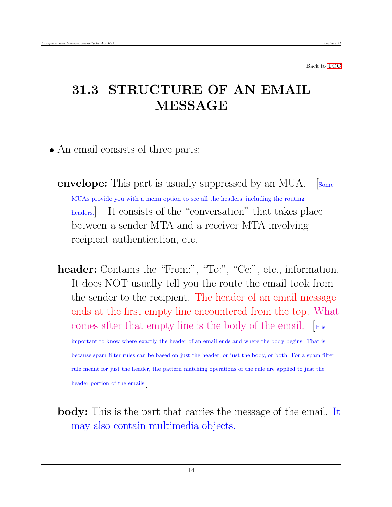<span id="page-13-0"></span>Back to [TOC](#page-1-0)

### 31.3 STRUCTURE OF AN EMAIL MESSAGE

- An email consists of three parts:
	- **envelope:** This part is usually suppressed by an MUA.  $\vert$   $\vert$   $\vert$  some MUAs provide you with a menu option to see all the headers, including the routing headers. It consists of the "conversation" that takes place between a sender MTA and a receiver MTA involving recipient authentication, etc.
	- header: Contains the "From:", "To:", "Cc:", etc., information. It does NOT usually tell you the route the email took from the sender to the recipient. The header of an email message ends at the first empty line encountered from the top. What comes after that empty line is the body of the email.  $\left[$ It is important to know where exactly the header of an email ends and where the body begins. That is because spam filter rules can be based on just the header, or just the body, or both. For a spam filter rule meant for just the header, the pattern matching operations of the rule are applied to just the header portion of the emails.
	- body: This is the part that carries the message of the email. It may also contain multimedia objects.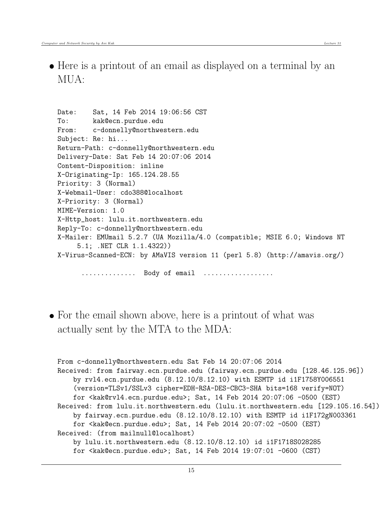Here is a printout of an email as displayed on a terminal by an MUA:

```
Date: Sat, 14 Feb 2014 19:06:56 CST
To: kak@ecn.purdue.edu
From: c-donnelly@northwestern.edu
Subject: Re: hi...
Return-Path: c-donnelly@northwestern.edu
Delivery-Date: Sat Feb 14 20:07:06 2014
Content-Disposition: inline
X-Originating-Ip: 165.124.28.55
Priority: 3 (Normal)
X-Webmail-User: cdo388@localhost
X-Priority: 3 (Normal)
MIME-Version: 1.0
X-Http_host: lulu.it.northwestern.edu
Reply-To: c-donnelly@northwestern.edu
X-Mailer: EMUmail 5.2.7 (UA Mozilla/4.0 (compatible; MSIE 6.0; Windows NT
     5.1; .NET CLR 1.1.4322))
X-Virus-Scanned-ECN: by AMaVIS version 11 (perl 5.8) (http://amavis.org/)
      ................ Body of email ..................
```
• For the email shown above, here is a printout of what was actually sent by the MTA to the MDA:

```
From c-donnelly@northwestern.edu Sat Feb 14 20:07:06 2014
Received: from fairway.ecn.purdue.edu (fairway.ecn.purdue.edu [128.46.125.96])
   by rvl4.ecn.purdue.edu (8.12.10/8.12.10) with ESMTP id i1F1758Y006551
    (version=TLSv1/SSLv3 cipher=EDH-RSA-DES-CBC3-SHA bits=168 verify=NOT)
    for <kak@rvl4.ecn.purdue.edu>; Sat, 14 Feb 2014 20:07:06 -0500 (EST)
Received: from lulu.it.northwestern.edu (lulu.it.northwestern.edu [129.105.16.54])
    by fairway.ecn.purdue.edu (8.12.10/8.12.10) with ESMTP id i1F172gN003361
    for <kak@ecn.purdue.edu>; Sat, 14 Feb 2014 20:07:02 -0500 (EST)
Received: (from mailnull@localhost)
   by lulu.it.northwestern.edu (8.12.10/8.12.10) id i1F1718S028285
    for <kak@ecn.purdue.edu>; Sat, 14 Feb 2014 19:07:01 -0600 (CST)
```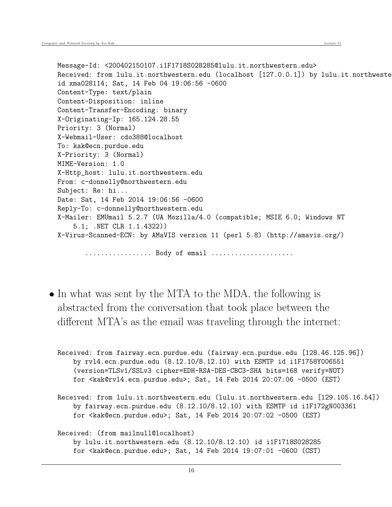```
Message-Id: <200402150107.i1F1718S028285@lulu.it.northwestern.edu>
Received: from lulu.it.northwestern.edu (localhost [127.0.0.1]) by lulu.it.northweste
id xma028114; Sat, 14 Feb 04 19:06:56 -0600
Content-Type: text/plain
Content-Disposition: inline
Content-Transfer-Encoding: binary
X-Originating-Ip: 165.124.28.55
Priority: 3 (Normal)
X-Webmail-User: cdo388@localhost
To: kak@ecn.purdue.edu
X-Priority: 3 (Normal)
MIME-Version: 1.0
X-Http_host: lulu.it.northwestern.edu
From: c-donnelly@northwestern.edu
Subject: Re: hi...
Date: Sat, 14 Feb 2014 19:06:56 -0600
Reply-To: c-donnelly@northwestern.edu
X-Mailer: EMUmail 5.2.7 (UA Mozilla/4.0 (compatible; MSIE 6.0; Windows NT
    5.1; .NET CLR 1.1.4322))
X-Virus-Scanned-ECN: by AMaVIS version 11 (perl 5.8) (http://amavis.org/)
       ...................... Body of email ......................
```
• In what was sent by the MTA to the MDA, the following is abstracted from the conversation that took place between the different MTA's as the email was traveling through the internet:

```
Received: from fairway.ecn.purdue.edu (fairway.ecn.purdue.edu [128.46.125.96])
    by rvl4.ecn.purdue.edu (8.12.10/8.12.10) with ESMTP id i1F1758Y006551
    (version=TLSv1/SSLv3 cipher=EDH-RSA-DES-CBC3-SHA bits=168 verify=NOT)
    for <kak@rvl4.ecn.purdue.edu>; Sat, 14 Feb 2014 20:07:06 -0500 (EST)
```
- Received: from lulu.it.northwestern.edu (lulu.it.northwestern.edu [129.105.16.54]) by fairway.ecn.purdue.edu (8.12.10/8.12.10) with ESMTP id i1F172gN003361 for <kak@ecn.purdue.edu>; Sat, 14 Feb 2014 20:07:02 -0500 (EST)
- Received: (from mailnull@localhost) by lulu.it.northwestern.edu (8.12.10/8.12.10) id i1F1718S028285 for <kak@ecn.purdue.edu>; Sat, 14 Feb 2014 19:07:01 -0600 (CST)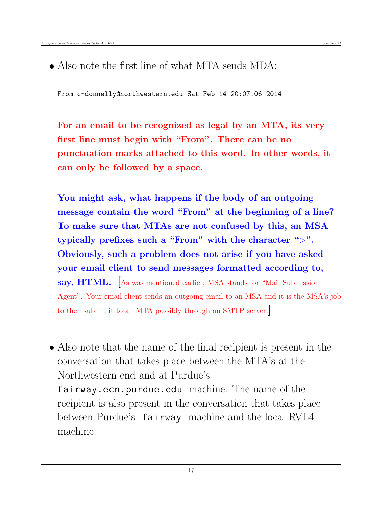• Also note the first line of what MTA sends MDA:

From c-donnelly@northwestern.edu Sat Feb 14 20:07:06 2014

For an email to be recognized as legal by an MTA, its very first line must begin with "From". There can be no punctuation marks attached to this word. In other words, it can only be followed by a space.

You might ask, what happens if the body of an outgoing message contain the word "From" at the beginning of a line? To make sure that MTAs are not confused by this, an MSA typically prefixes such a "From" with the character ">". Obviously, such a problem does not arise if you have asked your email client to send messages formatted according to, say, HTML. As was mentioned earlier, MSA stands for "Mail Submission" Agent". Your email client sends an outgoing email to an MSA and it is the MSA's job to then submit it to an MTA possibly through an SMTP server.]

 Also note that the name of the final recipient is present in the conversation that takes place between the MTA's at the Northwestern end and at Purdue's fairway.ecn.purdue.edu machine. The name of the recipient is also present in the conversation that takes place between Purdue's fairway machine and the local RVL4 machine.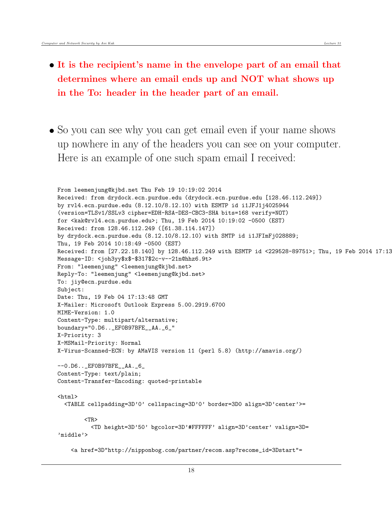- It is the recipient's name in the envelope part of an email that determines where an email ends up and NOT what shows up in the To: header in the header part of an email.
- So you can see why you can get email even if your name shows up nowhere in any of the headers you can see on your computer. Here is an example of one such spam email I received:

```
From leemenjung@kjbd.net Thu Feb 19 10:19:02 2014
Received: from drydock.ecn.purdue.edu (drydock.ecn.purdue.edu [128.46.112.249])
by rvl4.ecn.purdue.edu (8.12.10/8.12.10) with ESMTP id i1JFJ1j4025944
(version=TLSv1/SSLv3 cipher=EDH-RSA-DES-CBC3-SHA bits=168 verify=NOT)
for <kak@rvl4.ecn.purdue.edu>; Thu, 19 Feb 2014 10:19:02 -0500 (EST)
Received: from 128.46.112.249 ([61.38.114.147])
by drydock.ecn.purdue.edu (8.12.10/8.12.10) with SMTP id i1JFImFj028889;
Thu, 19 Feb 2014 10:18:49 -0500 (EST)
Received: from [27.22.18.140] by 128.46.112.249 with ESMTP id <229528-89751>; Thu, 19 Feb 2014 17:13:48
Message-ID: <joh3yy$x$-$317$2c-v--21n@hhz6.9t>
From: "leemenjung" <leemenjung@kjbd.net>
Reply-To: "leemenjung" <leemenjung@kjbd.net>
To: jiy@ecn.purdue.edu
Subject:
Date: Thu, 19 Feb 04 17:13:48 GMT
X-Mailer: Microsoft Outlook Express 5.00.2919.6700
MIME-Version: 1.0
Content-Type: multipart/alternative;
boundary="0.D6.._EF0B97BFE__AA._6_"
X-Priority: 3
X-MSMail-Priority: Normal
X-Virus-Scanned-ECN: by AMaVIS version 11 (perl 5.8) (http://amavis.org/)
--0.D6.._EF0B97BFE__AA._6_
Content-Type: text/plain;
Content-Transfer-Encoding: quoted-printable
<html><TABLE cellpadding=3D'0' cellspacing=3D'0' border=3D0 align=3D'center'>=
        <TR>
          <TD height=3D'50' bgcolor=3D'#FFFFFF' align=3D'center' valign=3D=
'middle'>
    <a href=3D"http://nipponbog.com/partner/recom.asp?recome_id=3Dstart"=
```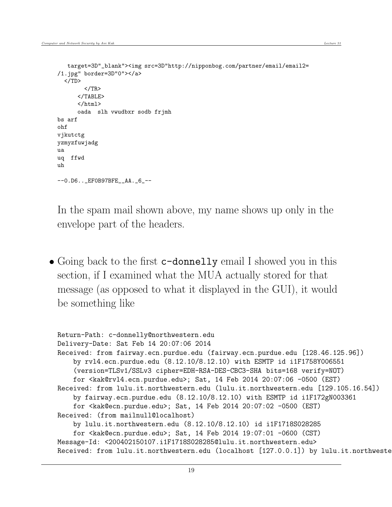```
target=3D"_blank"><img src=3D"http://nipponbog.com/partner/email/email2=
/1.jpg" border=3D"0"></a>
  </TD>
        </TR></TABLE>
      \langle/html>
      oada slh vwudbxr sodb frjmh
bs arf
ohf
vjkutctg
yzmyzfuwjadg
ua
uq ffwd
uh
--0.D6.._EF0B97BFE__AA._6_--
```
In the spam mail shown above, my name shows up only in the envelope part of the headers.

• Going back to the first **c-donnelly** email I showed you in this section, if I examined what the MUA actually stored for that message (as opposed to what it displayed in the GUI), it would be something like

```
Return-Path: c-donnelly@northwestern.edu
Delivery-Date: Sat Feb 14 20:07:06 2014
Received: from fairway.ecn.purdue.edu (fairway.ecn.purdue.edu [128.46.125.96])
    by rvl4.ecn.purdue.edu (8.12.10/8.12.10) with ESMTP id i1F1758Y006551
    (version=TLSv1/SSLv3 cipher=EDH-RSA-DES-CBC3-SHA bits=168 verify=NOT)
    for <kak@rvl4.ecn.purdue.edu>; Sat, 14 Feb 2014 20:07:06 -0500 (EST)
Received: from lulu.it.northwestern.edu (lulu.it.northwestern.edu [129.105.16.54])
    by fairway.ecn.purdue.edu (8.12.10/8.12.10) with ESMTP id i1F172gN003361
    for <kak@ecn.purdue.edu>; Sat, 14 Feb 2014 20:07:02 -0500 (EST)
Received: (from mailnull@localhost)
    by lulu.it.northwestern.edu (8.12.10/8.12.10) id i1F1718S028285
    for <kak@ecn.purdue.edu>; Sat, 14 Feb 2014 19:07:01 -0600 (CST)
Message-Id: <200402150107.i1F1718S028285@lulu.it.northwestern.edu>
Received: from lulu.it.northwestern.edu (localhost [127.0.0.1]) by lulu.it.northweste
```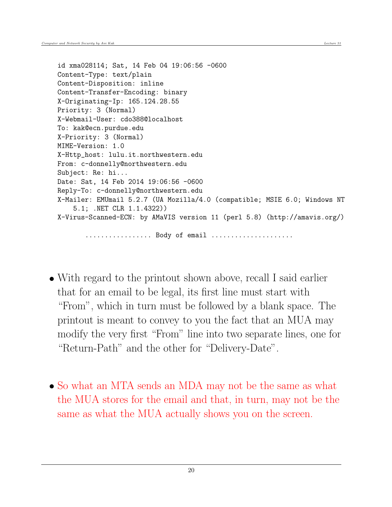```
id xma028114; Sat, 14 Feb 04 19:06:56 -0600
Content-Type: text/plain
Content-Disposition: inline
Content-Transfer-Encoding: binary
X-Originating-Ip: 165.124.28.55
Priority: 3 (Normal)
X-Webmail-User: cdo388@localhost
To: kak@ecn.purdue.edu
X-Priority: 3 (Normal)
MIME-Version: 1.0
X-Http_host: lulu.it.northwestern.edu
From: c-donnelly@northwestern.edu
Subject: Re: hi...
Date: Sat, 14 Feb 2014 19:06:56 -0600
Reply-To: c-donnelly@northwestern.edu
X-Mailer: EMUmail 5.2.7 (UA Mozilla/4.0 (compatible; MSIE 6.0; Windows NT
    5.1; .NET CLR 1.1.4322))
X-Virus-Scanned-ECN: by AMaVIS version 11 (perl 5.8) (http://amavis.org/)
       ................. Body of email .....................
```
- With regard to the printout shown above, recall I said earlier that for an email to be legal, its first line must start with "From", which in turn must be followed by a blank space. The printout is meant to convey to you the fact that an MUA may modify the very first "From" line into two separate lines, one for "Return-Path" and the other for "Delivery-Date".
- So what an MTA sends an MDA may not be the same as what the MUA stores for the email and that, in turn, may not be the same as what the MUA actually shows you on the screen.

20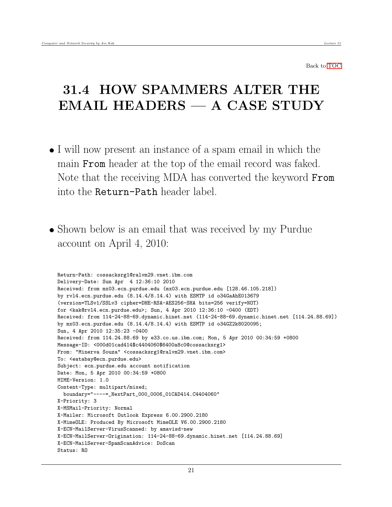<span id="page-20-0"></span>Back to [TOC](#page-1-0)

### 31.4 HOW SPAMMERS ALTER THE EMAIL HEADERS — A CASE STUDY

- I will now present an instance of a spam email in which the main From header at the top of the email record was faked. Note that the receiving MDA has converted the keyword From into the Return-Path header label.
- Shown below is an email that was received by my Purdue account on April 4, 2010:

```
Return-Path: cossacksrg1@ralvm29.vnet.ibm.com
Delivery-Date: Sun Apr 4 12:36:10 2010
Received: from mx03.ecn.purdue.edu (mx03.ecn.purdue.edu [128.46.105.218])
by rvl4.ecn.purdue.edu (8.14.4/8.14.4) with ESMTP id o34GaAhE013679
(version=TLSv1/SSLv3 cipher=DHE-RSA-AES256-SHA bits=256 verify=NOT)
for <kak@rvl4.ecn.purdue.edu>; Sun, 4 Apr 2010 12:36:10 -0400 (EDT)
Received: from 114-24-88-69.dynamic.hinet.net (114-24-88-69.dynamic.hinet.net [114.24.88.69])
by mx03.ecn.purdue.edu (8.14.4/8.14.4) with ESMTP id o34GZ2k8020095;
Sun, 4 Apr 2010 12:35:23 -0400
Received: from 114.24.88.69 by e33.co.us.ibm.com; Mon, 5 Apr 2010 00:34:59 +0800
Message-ID: <000d01cad414$c4404060$6400a8c0@cossacksrg1>
From: "Minerva Souza" <cossacksrg1@ralvm29.vnet.ibm.com>
To: <eatabay@ecn.purdue.edu>
Subject: ecn.purdue.edu account notification
Date: Mon, 5 Apr 2010 00:34:59 +0800
MIME-Version: 1.0
Content-Type: multipart/mixed;
  boundary="----=_NextPart_000_0006_01CAD414.C4404060"
X-Priority: 3
X-MSMail-Priority: Normal
X-Mailer: Microsoft Outlook Express 6.00.2900.2180
X-MimeOLE: Produced By Microsoft MimeOLE V6.00.2900.2180
X-ECN-MailServer-VirusScanned: by amavisd-new
X-ECN-MailServer-Origination: 114-24-88-69.dynamic.hinet.net [114.24.88.69]
X-ECN-MailServer-SpamScanAdvice: DoScan
Status: RO
```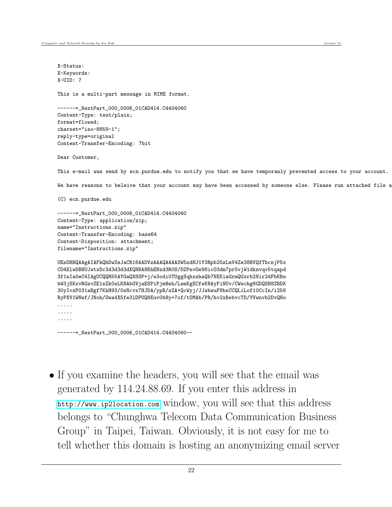```
X-Status:
X-Keywords:
X-UID: 7
This is a multi-part message in MIME format.
------=_NextPart_000_0006_01CAD414.C4404060
Content-Type: text/plain;
format=flowed;
charset="iso-8859-1";
reply-type=original
Content-Transfer-Encoding: 7bit
Dear Customer,
This e-mail was send by ecn.purdue.edu to notify you that we have temporanly prevented access to your account.
We have reasons to beleive that your account may have been accessed by someone else. Please run attached file a
(C) ecn.purdue.edu
------=_NextPart_000_0006_01CAD414.C4404060
Content-Type: application/zip;
name="Instructions.zip"
Content-Transfer-Encoding: base64
Content-Disposition: attachment;
filename="Instructions.zip"
UEsDBBQAAgAIAFkQhDwZeJaCR18AADVzAAAQAAAASW5zdHJ1Y3Rpb25zLmV4Ze38BVQfTbcnjP5x
CO4ElwDBHUJwtxDc3d3d3d3dXQNBA8EhENzd3R0S/DZPnvOe98icO3dm7pr5vjW1dknvqv5tqapd
3f1nIa0eC4IAgUCQQH55AYGaQX8SP+j/e3odi0TUggSqhxshaQb7NEKiaGrmQGxrb2Nir2dFbKBn
bW3jSKxvRGzvZE1sZk0sLKNAbGVjaESPiPjmHeh/LsmKgECfwKBAyFiNUv/CWwchg8GDQSH8ZRDK
30yIvzP031aBgf7KkH93/0sNcvx7HJDA/ypR/sZA+QcWyj/JJwbwuF8bsCCQLiLof10CcIn/i256
RyPXV1WNwf/JNoh/Owa4X5fe3lDPUQ8Euv0b8y+7of/tOMAb/PR/hv2xBebvcTD/YVwnvb2DvQHo
.....
.....
```

```
.....
```
------=\_NextPart\_000\_0006\_01CAD414.C4404060--

• If you examine the headers, you will see that the email was generated by 114.24.88.69. If you enter this address in <http://www.ip2location.com> window, you will see that this address belongs to "Chunghwa Telecom Data Communication Business Group" in Taipei, Taiwan. Obviously, it is not easy for me to tell whether this domain is hosting an anonymizing email server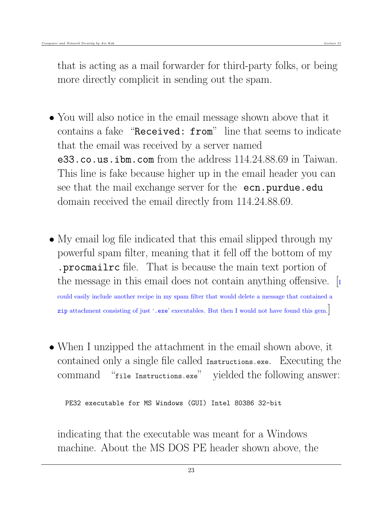that is acting as a mail forwarder for third-party folks, or being more directly complicit in sending out the spam.

- You will also notice in the email message shown above that it contains a fake "Received: from" line that seems to indicate that the email was received by a server named e33.co.us.ibm.com from the address 114.24.88.69 in Taiwan. This line is fake because higher up in the email header you can see that the mail exchange server for the ecn.purdue.edu domain received the email directly from 114.24.88.69.
- My email log file indicated that this email slipped through my powerful spam filter, meaning that it fell off the bottom of my .procmailrc file. That is because the main text portion of the message in this email does not contain anything offensive.  $\|$ I could easily include another recipe in my spam filter that would delete a message that contained a zip attachment consisting of just '.exe' executables. But then I would not have found this gem.
- When I unzipped the attachment in the email shown above, it contained only a single file called Instructions.exe. Executing the command "file Instructions.exe" yielded the following answer:

PE32 executable for MS Windows (GUI) Intel 80386 32-bit

indicating that the executable was meant for a Windows machine. About the MS DOS PE header shown above, the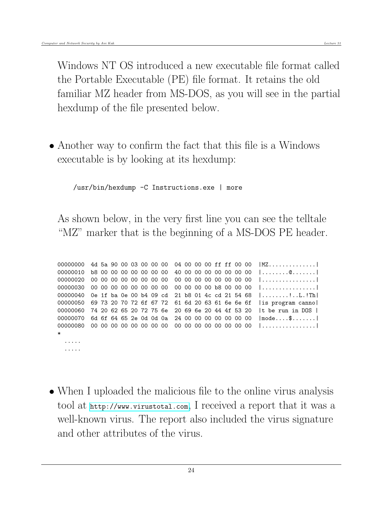Windows NT OS introduced a new executable file format called the Portable Executable (PE) file format. It retains the old familiar MZ header from MS-DOS, as you will see in the partial hexdump of the file presented below.

 Another way to confirm the fact that this file is a Windows executable is by looking at its hexdump:

```
/usr/bin/hexdump -C Instructions.exe | more
```
As shown below, in the very first line you can see the telltale "MZ" marker that is the beginning of a MS-DOS PE header.

00000000 4d 5a 90 00 03 00 00 00 04 00 00 00 ff ff 00 00 |MZ..............| 00000010 b8 00 00 00 00 00 00 00 40 00 00 00 00 00 00 00 |........@.......| 00000020 00 00 00 00 00 00 00 00 00 00 00 00 00 00 00 00 |................| 00000030 00 00 00 00 00 00 00 00 00 00 00 00 b8 00 00 00 |................| 00000040 0e 1f ba 0e 00 b4 09 cd 21 b8 01 4c cd 21 54 68 |........!..L.!Th| 00000050 69 73 20 70 72 6f 67 72 61 6d 20 63 61 6e 6e 6f |is program canno| 00000060 74 20 62 65 20 72 75 6e 20 69 6e 20 44 4f 53 20 |t be run in DOS | 00000070 6d 6f 64 65 2e 0d 0d 0a 24 00 00 00 00 00 00 00 |mode....\$.......| 00000080 00 00 00 00 00 00 00 00 00 00 00 00 00 00 00 00 |................| \* ..... .....

• When I uploaded the malicious file to the online virus analysis tool at <http://www.virustotal.com>, I received a report that it was a well-known virus. The report also included the virus signature and other attributes of the virus.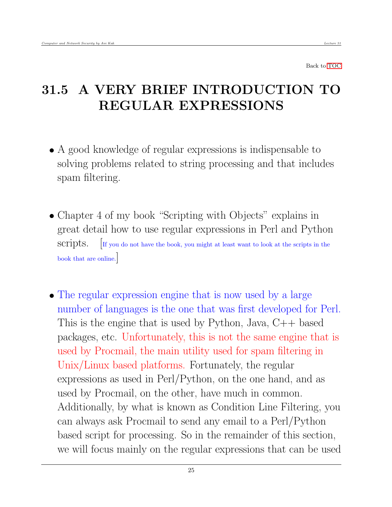<span id="page-24-0"></span>Back to [TOC](#page-1-0)

## 31.5 A VERY BRIEF INTRODUCTION TO REGULAR EXPRESSIONS

- A good knowledge of regular expressions is indispensable to solving problems related to string processing and that includes spam filtering.
- Chapter 4 of my book "Scripting with Objects" explains in great detail how to use regular expressions in Perl and Python scripts. If you do not have the book, you might at least want to look at the scripts in the book that are online.]
- The regular expression engine that is now used by a large number of languages is the one that was first developed for Perl. This is the engine that is used by Python, Java, C++ based packages, etc. Unfortunately, this is not the same engine that is used by Procmail, the main utility used for spam filtering in Unix/Linux based platforms. Fortunately, the regular expressions as used in Perl/Python, on the one hand, and as used by Procmail, on the other, have much in common. Additionally, by what is known as Condition Line Filtering, you can always ask Procmail to send any email to a Perl/Python based script for processing. So in the remainder of this section, we will focus mainly on the regular expressions that can be used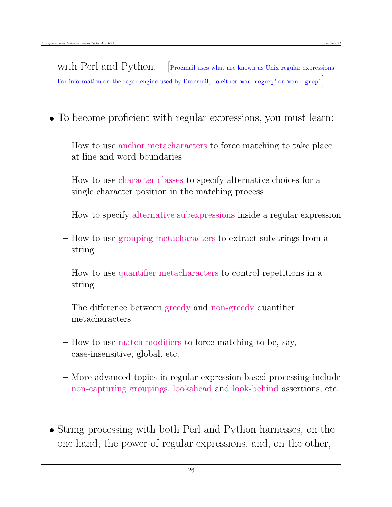with Perl and Python. [Procmail uses what are known as Unix regular expressions.] For information on the regex engine used by Procmail, do either 'man regexp' or 'man egrep'.

- To become proficient with regular expressions, you must learn:
	- How to use anchor metacharacters to force matching to take place at line and word boundaries
	- How to use character classes to specify alternative choices for a single character position in the matching process
	- How to specify alternative subexpressions inside a regular expression
	- How to use grouping metacharacters to extract substrings from a string
	- How to use quantifier metacharacters to control repetitions in a string
	- The difference between greedy and non-greedy quantifier metacharacters
	- How to use match modifiers to force matching to be, say, case-insensitive, global, etc.
	- More advanced topics in regular-expression based processing include non-capturing groupings, lookahead and look-behind assertions, etc.
- String processing with both Perl and Python harnesses, on the one hand, the power of regular expressions, and, on the other,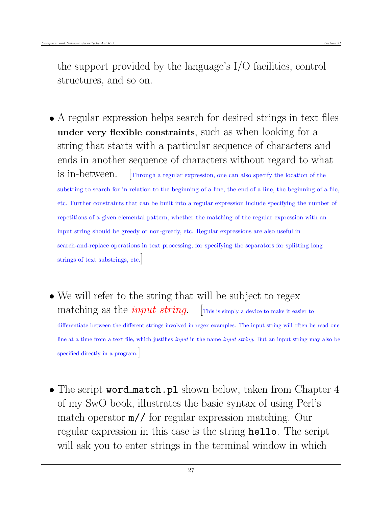the support provided by the language's I/O facilities, control structures, and so on.

- A regular expression helps search for desired strings in text files under very flexible constraints, such as when looking for a string that starts with a particular sequence of characters and ends in another sequence of characters without regard to what is in-between. [Through a regular expression, one can also specify the location of the substring to search for in relation to the beginning of a line, the end of a line, the beginning of a file, etc. Further constraints that can be built into a regular expression include specifying the number of repetitions of a given elemental pattern, whether the matching of the regular expression with an input string should be greedy or non-greedy, etc. Regular expressions are also useful in search-and-replace operations in text processing, for specifying the separators for splitting long strings of text substrings, etc.]
- We will refer to the string that will be subject to regex matching as the *input string*.  $\int$ This is simply a device to make it easier to differentiate between the different strings involved in regex examples. The input string will often be read one line at a time from a text file, which justifies *input* in the name *input string*. But an input string may also be specified directly in a program.]
- The script word match.pl shown below, taken from Chapter 4 of my SwO book, illustrates the basic syntax of using Perl's match operator m// for regular expression matching. Our regular expression in this case is the string hello. The script will ask you to enter strings in the terminal window in which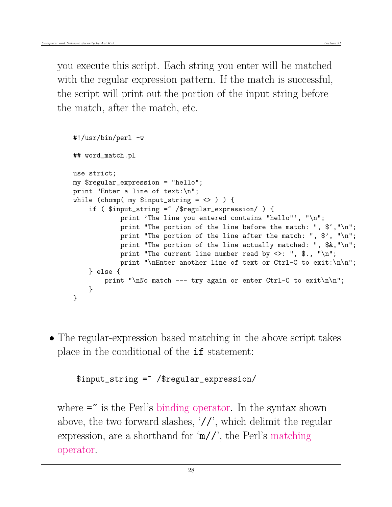you execute this script. Each string you enter will be matched with the regular expression pattern. If the match is successful, the script will print out the portion of the input string before the match, after the match, etc.

```
#!/usr/bin/perl -w
## word_match.pl
use strict;
my $regular_expression = "hello";
print "Enter a line of text:\n";
while (chomp( my $input\_string = \langle > \rangle ) {
    if ( \text{Sinput}\_string = \text{*} /\text{Sregular}\_expression / ) {
             print 'The line you entered contains "hello"', "\n";
             print "The portion of the line before the match: ", \mathcal{F}', "\n";
             print "The portion of the line after the match: ", \hat{P}', "\n";
             print "The portion of the line actually matched: ", $&, "\n";
             print "The current line number read by \langle \rangle: ", $., "\n";
             print "\nEnter another line of text or Ctrl-C to exit:\n\n";
    } else {
         print "\nNo match --- try again or enter Ctrl-C to exit\n\n";
    }
}
```
• The regular-expression based matching in the above script takes place in the conditional of the if statement:

```
$input_string =~ /$regular_expression/
```
where  $=\tilde{\phantom{a}}$  is the Perl's binding operator. In the syntax shown above, the two forward slashes, '//', which delimit the regular expression, are a shorthand for 'm//', the Perl's matching operator.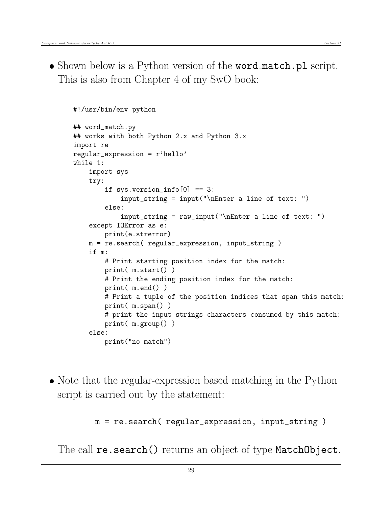• Shown below is a Python version of the word match.pl script. This is also from Chapter 4 of my SwO book:

```
#!/usr/bin/env python
## word_match.py
## works with both Python 2.x and Python 3.x
import re
regular_expression = r'hello'
while 1:
    import sys
    try:
        if sys.version_info[0] == 3:
            input_string = input("\\nEnter a line of text: ")else:
            input_string = raw_input("\nEnter a line of text: ")
    except IOError as e:
        print(e.strerror)
    m = re.search( regular_expression, input_string )
    if m:
        # Print starting position index for the match:
        print( m.start() )
        # Print the ending position index for the match:
        print( m.end() )
        # Print a tuple of the position indices that span this match:
        print( m.span() )
        # print the input strings characters consumed by this match:
        print( m.group() )
    else:
        print("no match")
```
• Note that the regular-expression based matching in the Python script is carried out by the statement:

```
m = re.search( regular_expression, input_string )
```
The call **re.search()** returns an object of type MatchObject.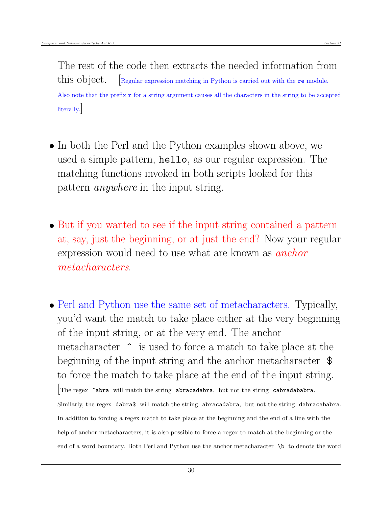The rest of the code then extracts the needed information from this object. Regular expression matching in Python is carried out with the re module. Also note that the prefix r for a string argument causes all the characters in the string to be accepted literally.]

- In both the Perl and the Python examples shown above, we used a simple pattern, hello, as our regular expression. The matching functions invoked in both scripts looked for this pattern anywhere in the input string.
- But if you wanted to see if the input string contained a pattern at, say, just the beginning, or at just the end? Now your regular expression would need to use what are known as *anchor* metacharacters.
- Perl and Python use the same set of metacharacters. Typically, you'd want the match to take place either at the very beginning of the input string, or at the very end. The anchor metacharacter  $\hat{\ }$  is used to force a match to take place at the beginning of the input string and the anchor metacharacter  $\frac{1}{2}$ to force the match to take place at the end of the input string. [The regex ^abra will match the string abracadabra, but not the string cabradababra. Similarly, the regex dabra\$ will match the string abracadabra, but not the string dabracababra. In addition to forcing a regex match to take place at the beginning and the end of a line with the help of anchor metacharacters, it is also possible to force a regex to match at the beginning or the end of a word boundary. Both Perl and Python use the anchor metacharacter  $\b$  to denote the word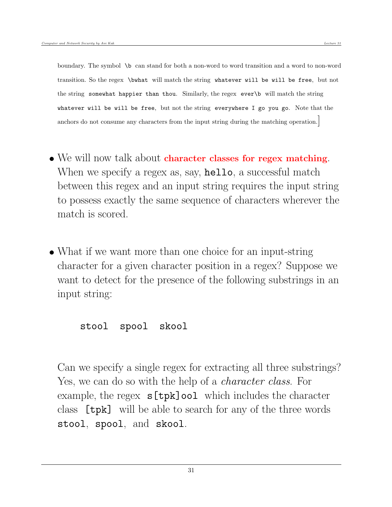boundary. The symbol \b can stand for both a non-word to word transition and a word to non-word transition. So the regex \bwhat will match the string whatever will be will be free, but not the string somewhat happier than thou. Similarly, the regex ever\b will match the string whatever will be will be free, but not the string everywhere I go you go. Note that the anchors do not consume any characters from the input string during the matching operation.]

- We will now talk about character classes for regex matching. When we specify a regex as, say, **hello**, a successful match between this regex and an input string requires the input string to possess exactly the same sequence of characters wherever the match is scored.
- What if we want more than one choice for an input-string character for a given character position in a regex? Suppose we want to detect for the presence of the following substrings in an input string:

#### stool spool skool

Can we specify a single regex for extracting all three substrings? Yes, we can do so with the help of a *character class*. For example, the regex  $s[tpk]$  ool which includes the character class [tpk] will be able to search for any of the three words stool, spool, and skool.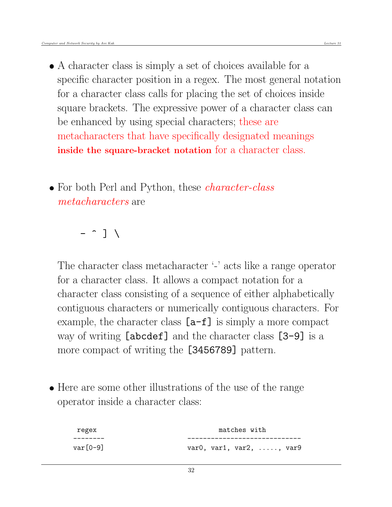- A character class is simply a set of choices available for a specific character position in a regex. The most general notation for a character class calls for placing the set of choices inside square brackets. The expressive power of a character class can be enhanced by using special characters; these are metacharacters that have specifically designated meanings inside the square-bracket notation for a character class.
- For both Perl and Python, these *character-class* metacharacters are

- ^ ]  $\backslash$ 

The character class metacharacter '-' acts like a range operator for a character class. It allows a compact notation for a character class consisting of a sequence of either alphabetically contiguous characters or numerically contiguous characters. For example, the character class  $[a-f]$  is simply a more compact way of writing [abcdef] and the character class [3-9] is a more compact of writing the [3456789] pattern.

• Here are some other illustrations of the use of the range operator inside a character class:

| regex    | matches with                                |
|----------|---------------------------------------------|
|          |                                             |
| var[0-9] | $var0$ , $var1$ , $var2$ , $\dots$ , $var9$ |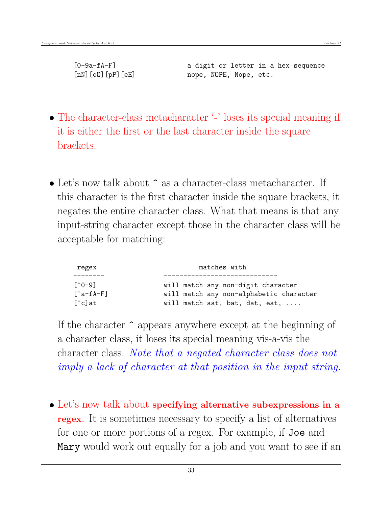[0-9a-fA-F] a digit or letter in a hex sequence [nN][oO][pP][eE] nope, NOPE, Nope, etc.

- The character-class metacharacter  $\cdot$  ' loses its special meaning if it is either the first or the last character inside the square brackets.
- Let's now talk about  $\hat{\ }$  as a character-class metacharacter. If this character is the first character inside the square brackets, it negates the entire character class. What that means is that any input-string character except those in the character class will be acceptable for matching:

| regex                      | matches with                            |  |  |
|----------------------------|-----------------------------------------|--|--|
|                            |                                         |  |  |
| $\lceil 0 - 9 \rceil$      | will match any non-digit character      |  |  |
| $[\hat{a}-fA-F]$           | will match any non-alphabetic character |  |  |
| $\lceil \hat{c} \rceil$ at | will match aat, bat, dat, eat,          |  |  |

If the character  $\hat{\ }$  appears anywhere except at the beginning of a character class, it loses its special meaning vis-a-vis the character class. Note that a negated character class does not imply a lack of character at that position in the input string.

• Let's now talk about specifying alternative subexpressions in a regex. It is sometimes necessary to specify a list of alternatives for one or more portions of a regex. For example, if Joe and Mary would work out equally for a job and you want to see if an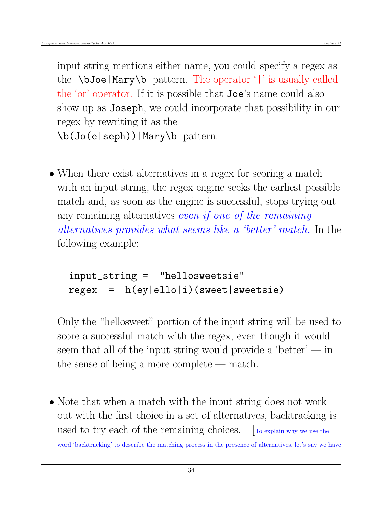input string mentions either name, you could specify a regex as the \bJoe|Mary\b pattern. The operator '|' is usually called the 'or' operator. If it is possible that Joe's name could also show up as Joseph, we could incorporate that possibility in our regex by rewriting it as the \b(Jo(e|seph))|Mary\b pattern.

• When there exist alternatives in a regex for scoring a match with an input string, the regex engine seeks the earliest possible match and, as soon as the engine is successful, stops trying out any remaining alternatives even if one of the remaining alternatives provides what seems like a 'better' match. In the following example:

```
input_string = "hellosweetsie"
regex = h(ey|ello|i)(sweet|sweetsie)
```
Only the "hellosweet" portion of the input string will be used to score a successful match with the regex, even though it would seem that all of the input string would provide a 'better'  $-$  in the sense of being a more complete — match.

• Note that when a match with the input string does not work out with the first choice in a set of alternatives, backtracking is used to try each of the remaining choices.  $\Box$  To explain why we use the

word 'backtracking' to describe the matching process in the presence of alternatives, let's say we have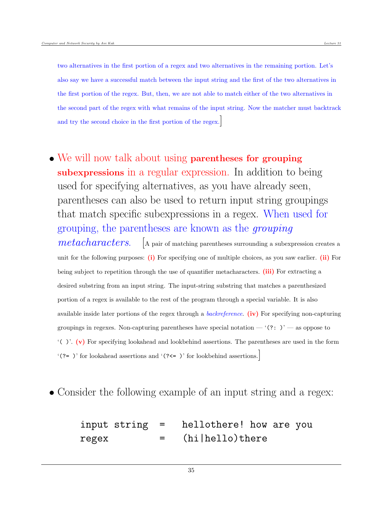two alternatives in the first portion of a regex and two alternatives in the remaining portion. Let's also say we have a successful match between the input string and the first of the two alternatives in the first portion of the regex. But, then, we are not able to match either of the two alternatives in the second part of the regex with what remains of the input string. Now the matcher must backtrack and try the second choice in the first portion of the regex.]

- We will now talk about using **parentheses for grouping** subexpressions in a regular expression. In addition to being used for specifying alternatives, as you have already seen, parentheses can also be used to return input string groupings that match specific subexpressions in a regex. When used for grouping, the parentheses are known as the grouping  $metacharactors.$  A pair of matching parentheses surrounding a subexpression creates a unit for the following purposes: (i) For specifying one of multiple choices, as you saw earlier. (ii) For being subject to repetition through the use of quantifier metacharacters. (iii) For extracting a desired substring from an input string. The input-string substring that matches a parenthesized portion of a regex is available to the rest of the program through a special variable. It is also available inside later portions of the regex through a *backreference*. (iv) For specifying non-capturing groupings in regexes. Non-capturing parentheses have special notation  $-$  ' $($ ?:  $)$ '  $-$  as oppose to  $\mathcal{L}(\cdot)$ . (v) For specifying lookahead and lookbehind assertions. The parentheses are used in the form '(?= )' for lookahead assertions and '(?<= )' for lookbehind assertions.
- Consider the following example of an input string and a regex:

input string = hellothere! how are you regex = (hi|hello)there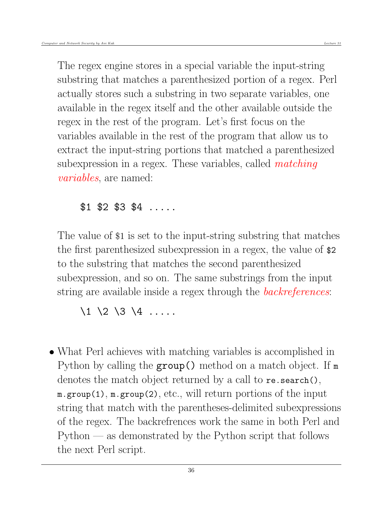The regex engine stores in a special variable the input-string substring that matches a parenthesized portion of a regex. Perl actually stores such a substring in two separate variables, one available in the regex itself and the other available outside the regex in the rest of the program. Let's first focus on the variables available in the rest of the program that allow us to extract the input-string portions that matched a parenthesized subexpression in a regex. These variables, called *matching* variables, are named:

#### \$1 \$2 \$3 \$4 .....

The value of \$1 is set to the input-string substring that matches the first parenthesized subexpression in a regex, the value of \$2 to the substring that matches the second parenthesized subexpression, and so on. The same substrings from the input string are available inside a regex through the *backreferences*:

 $\1 \ 2 \ 3 \ 4 \ \ldots$ 

 What Perl achieves with matching variables is accomplished in Python by calling the **group** () method on a match object. If m denotes the match object returned by a call to re.search(),  $m_{\text{group}(1), m_{\text{group}(2), etc.,}$  will return portions of the input string that match with the parentheses-delimited subexpressions of the regex. The backrefrences work the same in both Perl and Python — as demonstrated by the Python script that follows the next Perl script.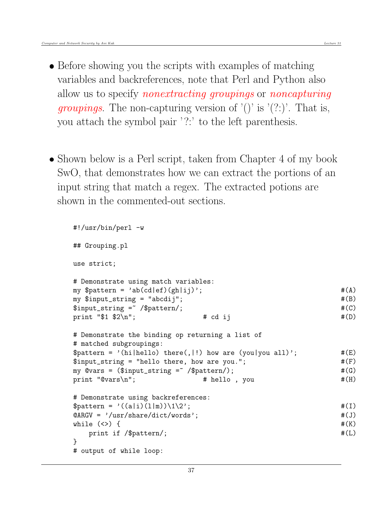- Before showing you the scripts with examples of matching variables and backreferences, note that Perl and Python also allow us to specify nonextracting groupings or noncapturing *groupings*. The non-capturing version of '()' is '(?:)'. That is, you attach the symbol pair '?:' to the left parenthesis.
- Shown below is a Perl script, taken from Chapter 4 of my book SwO, that demonstrates how we can extract the portions of an input string that match a regex. The extracted potions are shown in the commented-out sections.

```
#!/usr/bin/perl -w
## Grouping.pl
use strict;
# Demonstrate using match variables:
my $pattern = 'ab(cd|ef)(gh|ij)'; \#(A)my \text{Sinput}\_string = "abcdij";\text{Sinput\_string} = \text{``}\sqrt{\text{Spattern}}; \text{``}(\text{C})print "$1 $2\n"; \# cd ij \# (D)
# Demonstrate the binding op returning a list of
# matched subgroupings:
$pattern = '(hi|hello) there( ,|!) how are (you|you all)'; #(E)
$input\_string = "hello there, how are you."; \#(F)my Qvars = (\$input\_string = ^*/\$pattern/); #(G)print "@vars\n"; \qquad \qquad # \text{ hello }, you \qquad \qquad # (H)# Demonstrate using backreferences:
$pattern = '((a|i)(l|m))\12';\text{QARGV} = \text{'}/\text{usr}/\text{share}/\text{dict}/\text{words'}; \text{H(J)}while (\langle > \rangle) { \# (K)
   print if /$pattern/; \#(L)}
# output of while loop:
```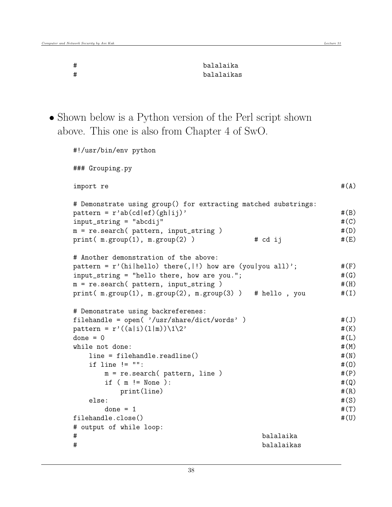```
# balalaika
# balalaikas
```
• Shown below is a Python version of the Perl script shown above. This one is also from Chapter 4 of SwO.

```
#!/usr/bin/env python
### Grouping.py
import re #(A)# Demonstrate using group() for extracting matched substrings:
pattern = r'ab(cd|ef)(gh|ij)' \#(B)input\_string = "abcdij" #(C)m = re.search( pattern, input_string) #(D)print( m.group(1), m.group(2) ) # cd i j # (E)# Another demonstration of the above:
pattern = r'(hi|hello) there(, |!) how are (you |you all)'; \#(F)input\_string = "hello there, how are you."; #(G)m = re.search( pattern, input\_string) #(H)print( m.group(1), m.group(2), m.group(3)) # hello, you #(I)# Demonstrate using backreferenes:
filehandle = open('/usr/share/dict/words') #(J)pattern = r'(\text{a}|i)(1|m)\12' #(K)
done = 0 #(L)while not done: #(M)line = filehandle.readline() #(N)if line != " " : "m = re.search( pattern, line) #(P)if ( m != None ): \#(Q)print(line) #(R)else: \#(S)done = 1 \#(T)filehandle.close() #(U)
# output of while loop:
# balalaika
# balalaikas
```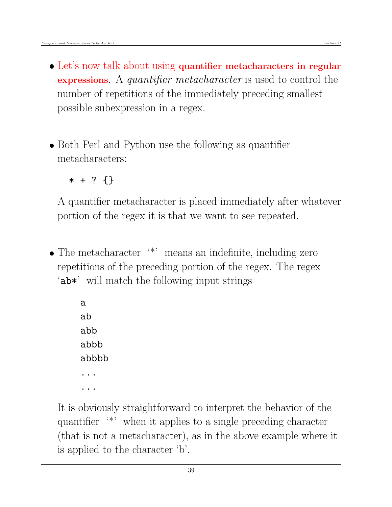- Let's now talk about using quantifier metacharacters in regular expressions. A *quantifier metacharacter* is used to control the number of repetitions of the immediately preceding smallest possible subexpression in a regex.
- Both Perl and Python use the following as quantifier metacharacters:

\* + ? {}

A quantifier metacharacter is placed immediately after whatever portion of the regex it is that we want to see repeated.

• The metacharacter  $\cdot^*$  means an indefinite, including zero repetitions of the preceding portion of the regex. The regex 'ab\*' will match the following input strings

> a ab abb abbb abbbb ... ...

It is obviously straightforward to interpret the behavior of the quantifier '\*' when it applies to a single preceding character (that is not a metacharacter), as in the above example where it is applied to the character 'b'.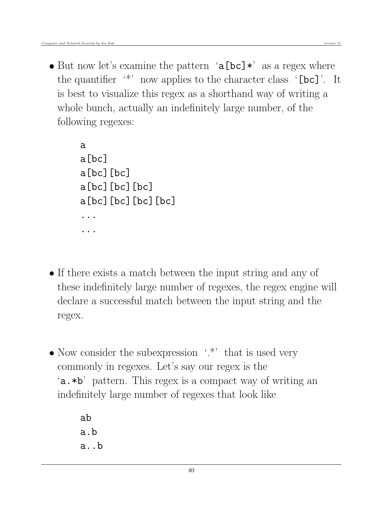$\bullet$  But now let's examine the pattern 'a[bc] $*$ ' as a regex where the quantifier  $\cdot^*$  now applies to the character class  $\cdot$  [bc]  $\cdot$  It is best to visualize this regex as a shorthand way of writing a whole bunch, actually an indefinitely large number, of the following regexes:

```
a
a[bc]
a[bc][bc]
a[bc][bc][bc]
a[bc][bc][bc][bc]
...
...
```
- If there exists a match between the input string and any of these indefinitely large number of regexes, the regex engine will declare a successful match between the input string and the regex.
- Now consider the subexpression  $\cdot$ .\*' that is used very commonly in regexes. Let's say our regex is the 'a.\*b' pattern. This regex is a compact way of writing an indefinitely large number of regexes that look like

ab a.b a..b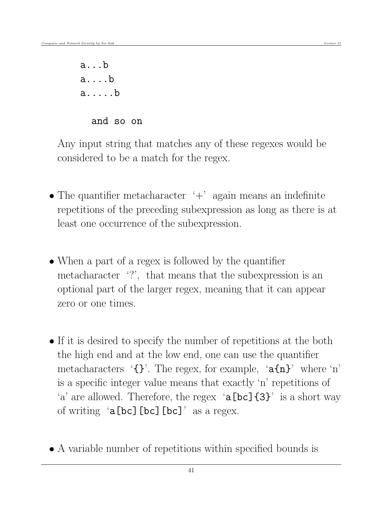a...b a....b a.....b

and so on

Any input string that matches any of these regexes would be considered to be a match for the regex.

- The quantifier metacharacter  $'$ +' again means an indefinite repetitions of the preceding subexpression as long as there is at least one occurrence of the subexpression.
- When a part of a regex is followed by the quantifier metacharacter '?', that means that the subexpression is an optional part of the larger regex, meaning that it can appear zero or one times.
- If it is desired to specify the number of repetitions at the both the high end and at the low end, one can use the quantifier metacharacters ' $\{\}$ '. The regex, for example, ' $a\{n\}$ ' where 'n' is a specific integer value means that exactly 'n' repetitions of 'a' are allowed. Therefore, the regex  $a[bc]{3}$ ' is a short way of writing  $'a[bc][bc][bc]$  as a regex.
- A variable number of repetitions within specified bounds is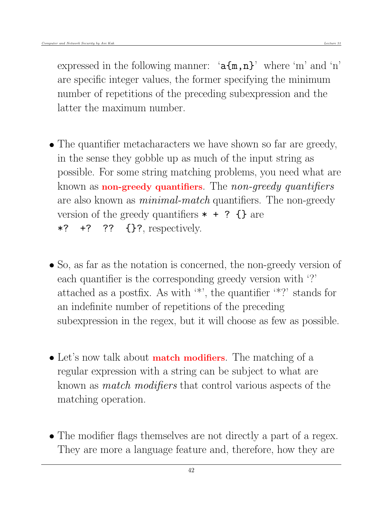expressed in the following manner:  $a_{\{m,n\}}'$  where 'm' and 'n' are specific integer values, the former specifying the minimum number of repetitions of the preceding subexpression and the latter the maximum number.

- The quantifier metacharacters we have shown so far are greedy, in the sense they gobble up as much of the input string as possible. For some string matching problems, you need what are known as **non-greedy quantifiers**. The *non-greedy quantifiers* are also known as minimal-match quantifiers. The non-greedy version of the greedy quantifiers  $* + ?$  {} are \*? +? ?? {}?, respectively.
- So, as far as the notation is concerned, the non-greedy version of each quantifier is the corresponding greedy version with '?' attached as a postfix. As with '\*', the quantifier '\*?' stands for an indefinite number of repetitions of the preceding subexpression in the regex, but it will choose as few as possible.
- Let's now talk about **match modifiers**. The matching of a regular expression with a string can be subject to what are known as match modifiers that control various aspects of the matching operation.
- The modifier flags themselves are not directly a part of a regex. They are more a language feature and, therefore, how they are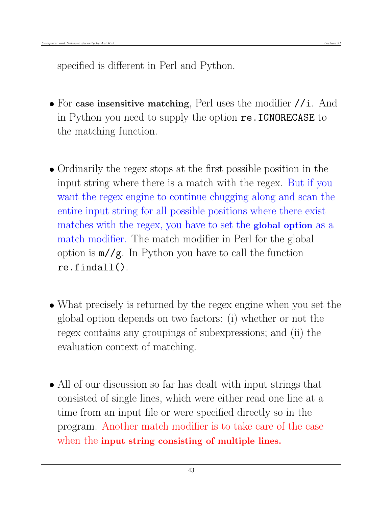- For case insensitive matching, Perl uses the modifier  $//i.$  And in Python you need to supply the option re.IGNORECASE to the matching function.
- Ordinarily the regex stops at the first possible position in the input string where there is a match with the regex. But if you want the regex engine to continue chugging along and scan the entire input string for all possible positions where there exist matches with the regex, you have to set the **global option** as a match modifier. The match modifier in Perl for the global option is  $m//g$ . In Python you have to call the function re.findall().
- What precisely is returned by the regex engine when you set the global option depends on two factors: (i) whether or not the regex contains any groupings of subexpressions; and (ii) the evaluation context of matching.
- All of our discussion so far has dealt with input strings that consisted of single lines, which were either read one line at a time from an input file or were specified directly so in the program. Another match modifier is to take care of the case when the input string consisting of multiple lines.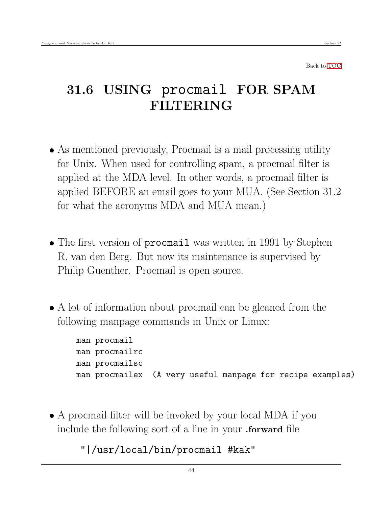<span id="page-43-0"></span>Back to [TOC](#page-1-0)

### 31.6 USING procmail FOR SPAM FILTERING

- As mentioned previously, Procmail is a mail processing utility for Unix. When used for controlling spam, a procmail filter is applied at the MDA level. In other words, a procmail filter is applied BEFORE an email goes to your MUA. (See Section 31.2 for what the acronyms MDA and MUA mean.)
- The first version of **procmail** was written in 1991 by Stephen R. van den Berg. But now its maintenance is supervised by Philip Guenther. Procmail is open source.
- A lot of information about procmail can be gleaned from the following manpage commands in Unix or Linux:

```
man procmail
man procmailrc
man procmailsc
man procmailex (A very useful manpage for recipe examples)
```
 A procmail filter will be invoked by your local MDA if you include the following sort of a line in your .forward file

"|/usr/local/bin/procmail #kak"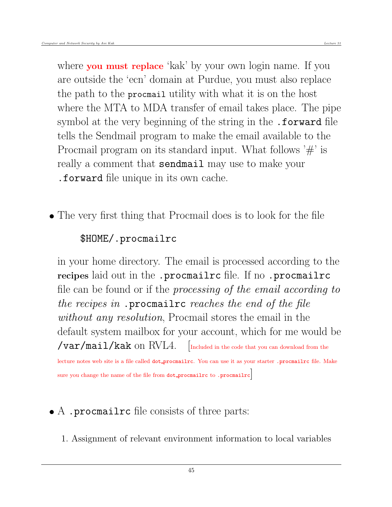where **you must replace** 'kak' by your own login name. If you are outside the 'ecn' domain at Purdue, you must also replace the path to the procmail utility with what it is on the host where the MTA to MDA transfer of email takes place. The pipe symbol at the very beginning of the string in the **forward** file tells the Sendmail program to make the email available to the Procmail program on its standard input. What follows  $\dddot{f}$  is really a comment that **sendmail** may use to make your .forward file unique in its own cache.

• The very first thing that Procmail does is to look for the file

### \$HOME/.procmailrc

in your home directory. The email is processed according to the recipes laid out in the .procmailrc file. If no .procmailrc file can be found or if the processing of the email according to the recipes in .procmailrc reaches the end of the file without any resolution, Procmail stores the email in the default system mailbox for your account, which for me would be  $\sqrt{\text{var}/\text{mail}/\text{kak}}$  on  $\text{RVL4.}$  [Included in the code that you can download from the lecture notes web site is a file called dot\_procmailrc. You can use it as your starter .procmailrc file. Make sure you change the name of the file from  $dot$ -procmailrc to .procmailrc

### A .procmailrc file consists of three parts:

1. Assignment of relevant environment information to local variables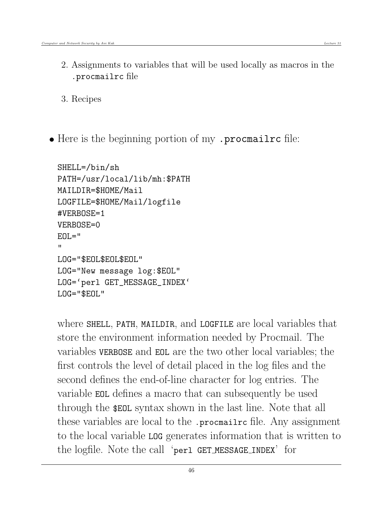- 2. Assignments to variables that will be used locally as macros in the .procmailrc file
- 3. Recipes
- Here is the beginning portion of my .procmailrc file:

```
SHELL=/bin/sh
PATH=/usr/local/lib/mh:$PATH
MAILDIR=$HOME/Mail
LOGFILE=$HOME/Mail/logfile
#VERBOSE=1
VERBOSE=0
EOL="
\mathbf{u}LOG="$EOL$EOL$EOL"
LOG="New message log:$EOL"
LOG='perl GET_MESSAGE_INDEX'
LOG="$EOL"
```
where SHELL, PATH, MAILDIR, and LOGFILE are local variables that store the environment information needed by Procmail. The variables VERBOSE and EOL are the two other local variables; the first controls the level of detail placed in the log files and the second defines the end-of-line character for log entries. The variable EOL defines a macro that can subsequently be used through the \$EOL syntax shown in the last line. Note that all these variables are local to the .procmailrc file. Any assignment to the local variable LOG generates information that is written to the logfile. Note the call 'perl GET MESSAGE INDEX' for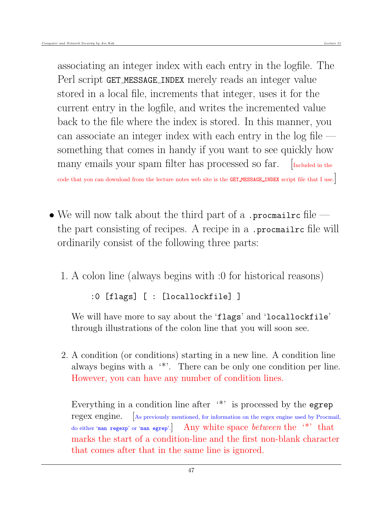associating an integer index with each entry in the logfile. The Perl script GET\_MESSAGE\_INDEX merely reads an integer value stored in a local file, increments that integer, uses it for the current entry in the logfile, and writes the incremented value back to the file where the index is stored. In this manner, you can associate an integer index with each entry in the log file something that comes in handy if you want to see quickly how many emails your spam filter has processed so far. [Included in the

code that you can download from the lecture notes web site is the GET MESSAGE INDEX script file that I use.

- We will now talk about the third part of a .procmailre file the part consisting of recipes. A recipe in a .procmailrc file will ordinarily consist of the following three parts:
	- 1. A colon line (always begins with :0 for historical reasons)

:0 [flags] [ : [locallockfile] ]

We will have more to say about the 'flags' and 'locallockfile' through illustrations of the colon line that you will soon see.

2. A condition (or conditions) starting in a new line. A condition line always begins with a '\*'. There can be only one condition per line. However, you can have any number of condition lines.

Everything in a condition line after  $\cdot^*$  is processed by the egrep regex engine. [As previously mentioned, for information on the regex engine used by Procmail, do either 'man regexp' or 'man egrep'.] Any white space between the '\*' that marks the start of a condition-line and the first non-blank character that comes after that in the same line is ignored.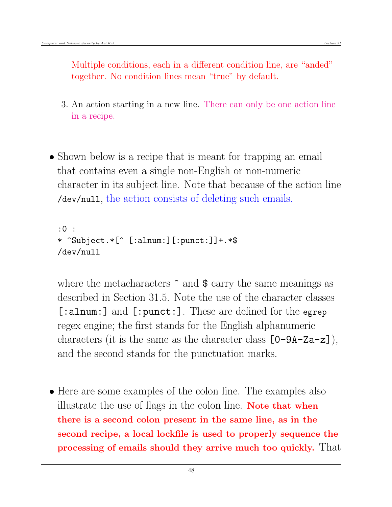Multiple conditions, each in a different condition line, are "anded" together. No condition lines mean "true" by default.

- 3. An action starting in a new line. There can only be one action line in a recipe.
- Shown below is a recipe that is meant for trapping an email that contains even a single non-English or non-numeric character in its subject line. Note that because of the action line /dev/null, the action consists of deleting such emails.

```
:0 :
* ^Subject.*[^ [:alnum:][:punct:]]+.*$
/dev/null
```
where the metacharacters  $\hat{\ }$  and  $\hat{\ }$  carry the same meanings as described in Section 31.5. Note the use of the character classes [:alnum:] and [:punct:]. These are defined for the egrep regex engine; the first stands for the English alphanumeric characters (it is the same as the character class [0-9A-Za-z]), and the second stands for the punctuation marks.

• Here are some examples of the colon line. The examples also illustrate the use of flags in the colon line. Note that when there is a second colon present in the same line, as in the second recipe, a local lockfile is used to properly sequence the processing of emails should they arrive much too quickly. That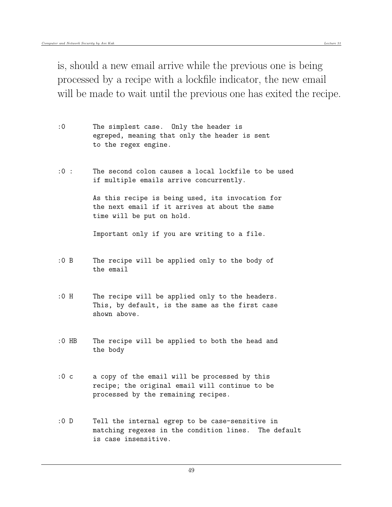is, should a new email arrive while the previous one is being processed by a recipe with a lockfile indicator, the new email will be made to wait until the previous one has exited the recipe.

- :0 The simplest case. Only the header is egreped, meaning that only the header is sent to the regex engine.
- :0 : The second colon causes a local lockfile to be used if multiple emails arrive concurrently.

As this recipe is being used, its invocation for the next email if it arrives at about the same time will be put on hold.

Important only if you are writing to a file.

- :0 B The recipe will be applied only to the body of the email
- :0 H The recipe will be applied only to the headers. This, by default, is the same as the first case shown above.
- :0 HB The recipe will be applied to both the head and the body
- :0 c a copy of the email will be processed by this recipe; the original email will continue to be processed by the remaining recipes.
- :0 D Tell the internal egrep to be case-sensitive in matching regexes in the condition lines. The default is case insensitive.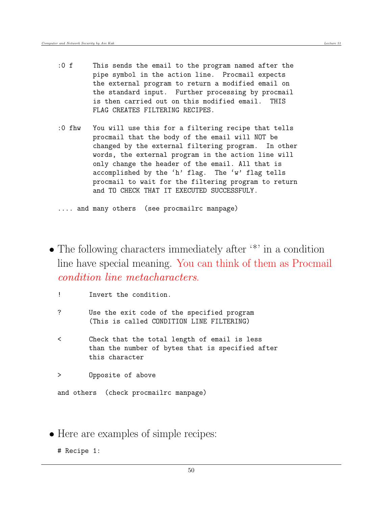- pipe symbol in the action line. Procmail expects the external program to return a modified email on the standard input. Further processing by procmail is then carried out on this modified email. THIS FLAG CREATES FILTERING RECIPES.
- :0 fhw You will use this for a filtering recipe that tells procmail that the body of the email will NOT be changed by the external filtering program. In other words, the external program in the action line will only change the header of the email. All that is accomplished by the 'h' flag. The 'w' flag tells procmail to wait for the filtering program to return and TO CHECK THAT IT EXECUTED SUCCESSFULY.

.... and many others (see procmailrc manpage)

- The following characters immediately after  $\cdot^*$  in a condition line have special meaning. You can think of them as Procmail condition line metacharacters.
	- ! Invert the condition.
	- ? Use the exit code of the specified program (This is called CONDITION LINE FILTERING)
	- < Check that the total length of email is less than the number of bytes that is specified after this character

> Opposite of above

and others (check procmailrc manpage)

• Here are examples of simple recipes:

# Recipe 1: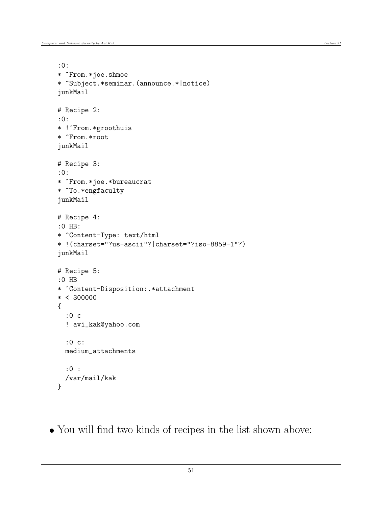```
:0:
* ^From.*joe.shmoe
* ^Subject.*seminar.(announce.*|notice)
junkMail
# Recipe 2:
:0:
* !^From.*groothuis
* ^From.*root
junkMail
# Recipe 3:
:0:
* ^From.*joe.*bureaucrat
* ^To.*engfaculty
junkMail
# Recipe 4:
:0 HB:
* ^Content-Type: text/html
* !(charset="?us-ascii"?|charset="?iso-8859-1"?)
junkMail
# Recipe 5:
:0 HB
* ^Content-Disposition:.*attachment
* < 300000{
  :0 c
  ! avi_kak@yahoo.com
  :0 c:
 medium_attachments
  :0 :
  /var/mail/kak
}
```
You will find two kinds of recipes in the list shown above: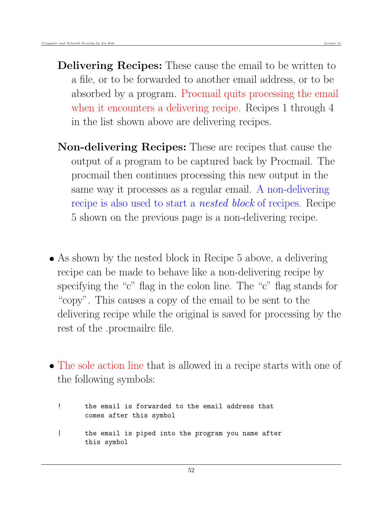- **Delivering Recipes:** These cause the email to be written to a file, or to be forwarded to another email address, or to be absorbed by a program. Procmail quits processing the email when it encounters a delivering recipe. Recipes 1 through 4 in the list shown above are delivering recipes.
- Non-delivering Recipes: These are recipes that cause the output of a program to be captured back by Procmail. The procmail then continues processing this new output in the same way it processes as a regular email. A non-delivering recipe is also used to start a nested block of recipes. Recipe 5 shown on the previous page is a non-delivering recipe.
- As shown by the nested block in Recipe 5 above, a delivering recipe can be made to behave like a non-delivering recipe by specifying the "c" flag in the colon line. The "c" flag stands for "copy". This causes a copy of the email to be sent to the delivering recipe while the original is saved for processing by the rest of the .procmailrc file.
- The sole action line that is allowed in a recipe starts with one of the following symbols:
	- ! the email is forwarded to the email address that comes after this symbol | the email is piped into the program you name after this symbol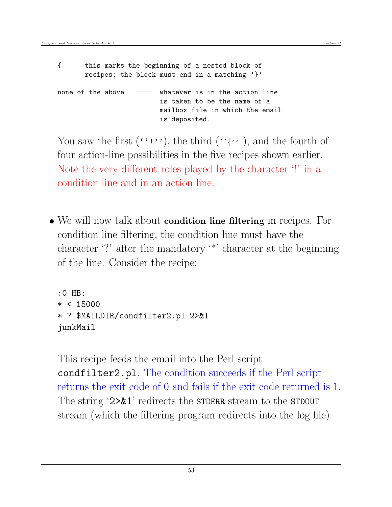```
{ this marks the beginning of a nested block of
      recipes; the block must end in a matching ''
none of the above ---- whatever is in the action line
                         is taken to be the name of a
                         mailbox file in which the email
                         is deposited.
```
You saw the first  $($ ''''), the third  $($ ''''), and the fourth of four action-line possibilities in the five recipes shown earlier. Note the very different roles played by the character '!' in a condition line and in an action line.

 We will now talk about condition line filtering in recipes. For condition line filtering, the condition line must have the character '?' after the mandatory '\*' character at the beginning of the line. Consider the recipe:

```
:0 HB:
* < 15000* ? $MAILDIR/condfilter2.pl 2>&1
junkMail
```
This recipe feeds the email into the Perl script condfilter2.pl. The condition succeeds if the Perl script returns the exit code of 0 and fails if the exit code returned is 1. The string '2>&1' redirects the STDERR stream to the STDOUT stream (which the filtering program redirects into the log file).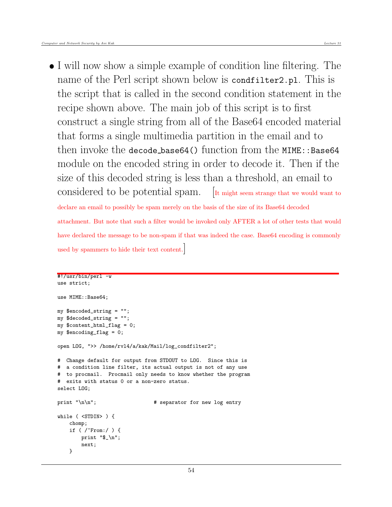- I will now show a simple example of condition line filtering. The name of the Perl script shown below is condfilter2.pl. This is the script that is called in the second condition statement in the recipe shown above. The main job of this script is to first construct a single string from all of the Base64 encoded material that forms a single multimedia partition in the email and to then invoke the decode base  $64()$  function from the MIME::Base  $64$ module on the encoded string in order to decode it. Then if the size of this decoded string is less than a threshold, an email to considered to be potential spam. It might seem strange that we would want to declare an email to possibly be spam merely on the basis of the size of its Base64 decoded attachment. But note that such a filter would be invoked only AFTER a lot of other tests that would
	- have declared the message to be non-spam if that was indeed the case. Base64 encoding is commonly used by spammers to hide their text content.]

```
#!/usr/bin/perl -w
use strict;
use MIME::Base64;
my $encoded_string = "";
my $decoded_string = "";
my $content_html_flag = 0;
my $encoding_flag = 0;
open LOG, ">> /home/rvl4/a/kak/Mail/log_condfilter2";
# Change default for output from STDOUT to LOG. Since this is
# a condition line filter, its actual output is not of any use
# to procmail. Procmail only needs to know whether the program
# exits with status 0 or a non-zero status.
select LOG;
print "\langle n \rangle n"; # separator for new log entry
while ( <STDIN> ) {
    chomp;
    if (/^From:/ ) {
        print "$_\n";
        next;
    }
```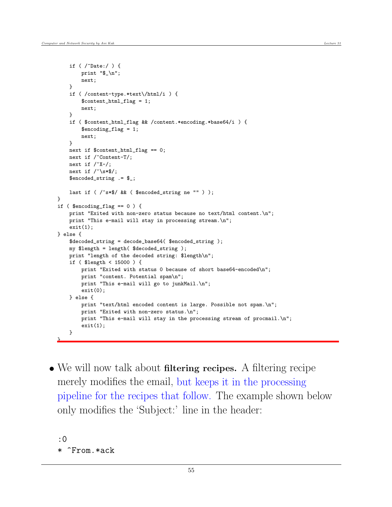```
if (/^{\circ}Date:/ ) {
        print "$_\n";
        next;
    }
    if ( /content-type.*text\/html/i ) {
        $content_html_flag = 1;
        next;
    }
    if ( $content_html_flag && /content.*encoding.*base64/i ) {
        $encoding_flag = 1;
        next;
    }
    next if $content_html_flag == 0;
    next if /^Content-T/;
    next if /\hat{X}-/;
    next if /\hat{\ } \s*$/;
    $encoded_string .= $_;
    last if ( /\hat{s}*\/ && ( $encoded_string ne "" ) );
}
if ( \text{Sencoding\_flag} == 0 ) {
    print "Exited with non-zero status because no text/html content.\n";
    print "This e-mail will stay in processing stream.\n";
    exit(1);
} else {
    $decoded_string = decode_base64( $encoded_string );
    my $length = length( $decoded_string );
    print "length of the decoded string: $length\n";
    if ( $length < 15000 ) {
        print "Exited with status 0 because of short base64-encoded\n";
        print "content. Potential spam\n";
        print "This e-mail will go to junkMail.\n";
        exit(0);} else {
        print "text/html encoded content is large. Possible not spam.\n";
        print "Exited with non-zero status.\n";
        print "This e-mail will stay in the processing stream of procmail.\n";
        exit(1);}
```
 We will now talk about filtering recipes. A filtering recipe merely modifies the email, but keeps it in the processing pipeline for the recipes that follow. The example shown below only modifies the 'Subject:' line in the header:

```
:0
* ^From.*ack
```
<u>}</u>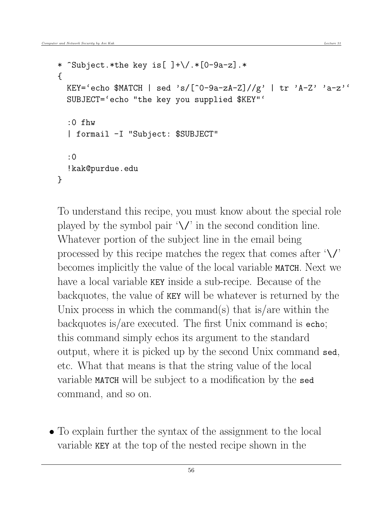```
* ^Subject.*the key is[ ] + \sqrt{4 \cdot 12}.*
{
 KEY='echo $MATCH | sed 's/[^0-9a-zA-Z]//g' | tr 'A-Z' 'a-z''
 SUBJECT='echo "the key you supplied $KEY"'
  :0 fhw
  | formail -I "Subject: $SUBJECT"
  :0
  !kak@purdue.edu
}
```
To understand this recipe, you must know about the special role played by the symbol pair  $\sqrt{\ }$  in the second condition line. Whatever portion of the subject line in the email being processed by this recipe matches the regex that comes after  $\sqrt{\ }$ becomes implicitly the value of the local variable MATCH. Next we have a local variable KEY inside a sub-recipe. Because of the backquotes, the value of KEY will be whatever is returned by the Unix process in which the command(s) that is/are within the backquotes is/are executed. The first Unix command is echo; this command simply echos its argument to the standard output, where it is picked up by the second Unix command sed, etc. What that means is that the string value of the local variable MATCH will be subject to a modification by the sed command, and so on.

 To explain further the syntax of the assignment to the local variable KEY at the top of the nested recipe shown in the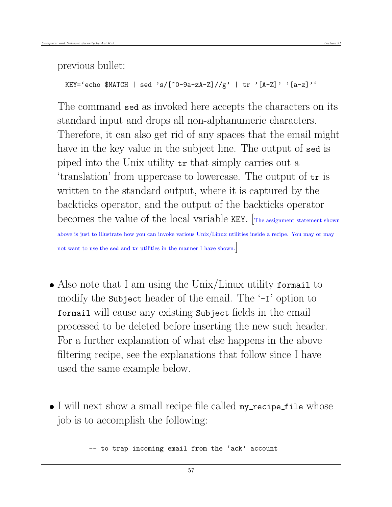previous bullet:

```
KEY='echo $MATCH | sed 's/[^0-9a-zA-Z]//g' | tr '[A-Z]' '[a-z]''
```
The command sed as invoked here accepts the characters on its standard input and drops all non-alphanumeric characters. Therefore, it can also get rid of any spaces that the email might have in the key value in the subject line. The output of sed is piped into the Unix utility tr that simply carries out a 'translation' from uppercase to lowercase. The output of tr is written to the standard output, where it is captured by the backticks operator, and the output of the backticks operator becomes the value of the local variable KEY. The assignment statement shown above is just to illustrate how you can invoke various Unix/Linux utilities inside a recipe. You may or may not want to use the sed and  $tr$  utilities in the manner I have shown.

- Also note that I am using the Unix/Linux utility formail to modify the Subject header of the email. The '-I' option to formail will cause any existing Subject fields in the email processed to be deleted before inserting the new such header. For a further explanation of what else happens in the above filtering recipe, see the explanations that follow since I have used the same example below.
- I will next show a small recipe file called my recipe file whose job is to accomplish the following:

-- to trap incoming email from the 'ack' account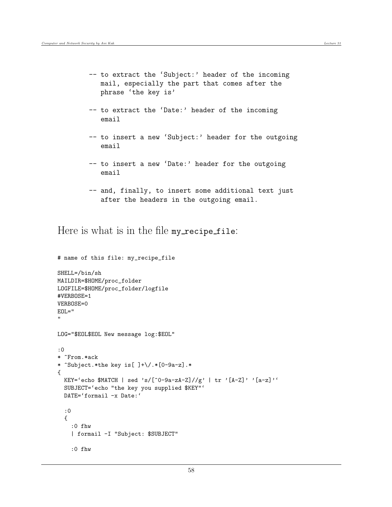```
-- to extract the 'Subject:' header of the incoming
  mail, especially the part that comes after the
  phrase 'the key is'
```
- -- to extract the 'Date:' header of the incoming email
- -- to insert a new 'Subject:' header for the outgoing email
- -- to insert a new 'Date:' header for the outgoing email
- -- and, finally, to insert some additional text just after the headers in the outgoing email.

Here is what is in the file my recipe file:

```
# name of this file: my_recipe_file
SHELL=/bin/sh
MAILDIR=$HOME/proc_folder
LOGFILE=$HOME/proc_folder/logfile
#VERBOSE=1
VERBOSE=0
EOL="
"
LOG="$EOL$EOL New message log:$EOL"
:0
* ^From.*ack
* ^Subject.*the key is[ ]+\/.*[0-9a-z].*
{
  KEY='echo $MATCH | sed 's/[^0-9a-zA-Z]//g' | tr '[A-Z]' '[a-z]''
  SUBJECT='echo "the key you supplied $KEY"'
  DATE='formail -x Date:'
  :0
  {
    :0 fhw
    | formail -I "Subject: $SUBJECT"
    :0 fhw
```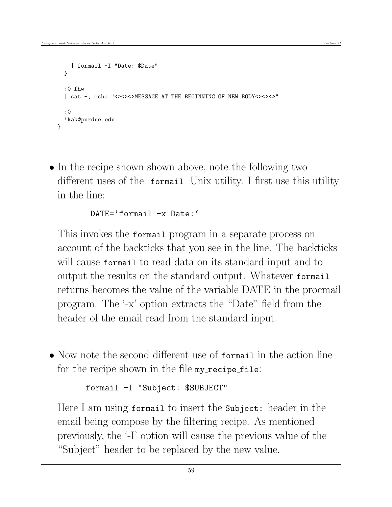```
| formail -I "Date: $Date"
 }
  :0 fhw
  | cat -; echo "<><><>MESSAGE AT THE BEGINNING OF NEW BODY<><><>"
  :0
  !kak@purdue.edu
}
```
• In the recipe shown shown above, note the following two different uses of the formail Unix utility. I first use this utility in the line:

```
DATE='formail -x Date:'
```
This invokes the formail program in a separate process on account of the backticks that you see in the line. The backticks will cause formail to read data on its standard input and to output the results on the standard output. Whatever formail returns becomes the value of the variable DATE in the procmail program. The '-x' option extracts the "Date" field from the header of the email read from the standard input.

• Now note the second different use of formail in the action line for the recipe shown in the file my recipe file:

```
formail -I "Subject: $SUBJECT"
```
Here I am using formail to insert the Subject: header in the email being compose by the filtering recipe. As mentioned previously, the '-I' option will cause the previous value of the "Subject" header to be replaced by the new value.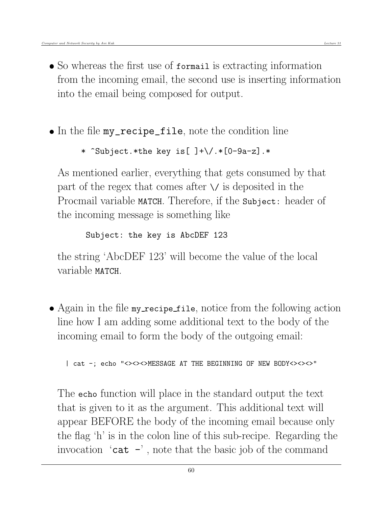- So whereas the first use of formail is extracting information from the incoming email, the second use is inserting information into the email being composed for output.
- In the file my\_recipe\_file, note the condition line

```
* \text{Subject.*}the key is[ ]+\/.*[0-9a-z].*
```
As mentioned earlier, everything that gets consumed by that part of the regex that comes after  $\setminus\prime$  is deposited in the Procmail variable MATCH. Therefore, if the Subject: header of the incoming message is something like

Subject: the key is AbcDEF 123

the string 'AbcDEF 123' will become the value of the local variable MATCH.

• Again in the file my recipe file, notice from the following action line how I am adding some additional text to the body of the incoming email to form the body of the outgoing email:

```
| cat -; echo "<><>><>MESSAGE AT THE BEGINNING OF NEW BODY<><>>
```
The echo function will place in the standard output the text that is given to it as the argument. This additional text will appear BEFORE the body of the incoming email because only the flag 'h' is in the colon line of this sub-recipe. Regarding the invocation 'cat  $-$ ', note that the basic job of the command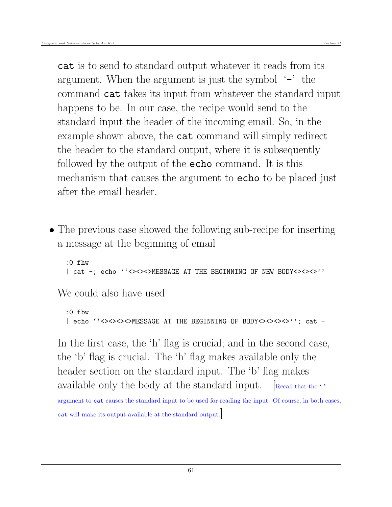cat is to send to standard output whatever it reads from its argument. When the argument is just the symbol  $\div$  the command cat takes its input from whatever the standard input happens to be. In our case, the recipe would send to the standard input the header of the incoming email. So, in the example shown above, the cat command will simply redirect the header to the standard output, where it is subsequently followed by the output of the echo command. It is this mechanism that causes the argument to echo to be placed just after the email header.

 The previous case showed the following sub-recipe for inserting a message at the beginning of email

:0 fhw | cat -; echo '' <><><>>><>MESSAGE AT THE BEGINNING OF NEW BODY<><><>''

We could also have used

```
:0 fbw
| echo ''<><><>>>>>>MESSAGE AT THE BEGINNING OF BODY<><><>>''; cat -
```
In the first case, the 'h' flag is crucial; and in the second case, the 'b' flag is crucial. The 'h' flag makes available only the header section on the standard input. The 'b' flag makes available only the body at the standard input. [Recall that the  $\cdot$ argument to cat causes the standard input to be used for reading the input. Of course, in both cases, cat will make its output available at the standard output.]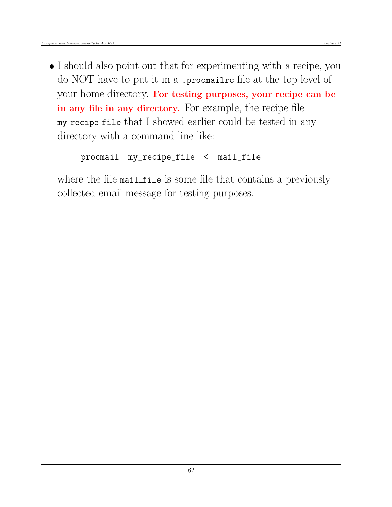I should also point out that for experimenting with a recipe, you do NOT have to put it in a .procmailrc file at the top level of your home directory. For testing purposes, your recipe can be in any file in any directory. For example, the recipe file my recipe file that I showed earlier could be tested in any directory with a command line like:

procmail my\_recipe\_file < mail\_file

where the file mail file is some file that contains a previously collected email message for testing purposes.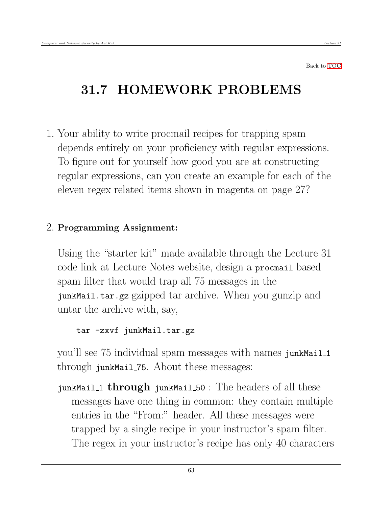<span id="page-62-0"></span>Back to [TOC](#page-1-0)

# 31.7 HOMEWORK PROBLEMS

1. Your ability to write procmail recipes for trapping spam depends entirely on your proficiency with regular expressions. To figure out for yourself how good you are at constructing regular expressions, can you create an example for each of the eleven regex related items shown in magenta on page 27?

#### 2. Programming Assignment:

Using the "starter kit" made available through the Lecture 31 code link at Lecture Notes website, design a procmail based spam filter that would trap all 75 messages in the junkMail.tar.gz gzipped tar archive. When you gunzip and untar the archive with, say,

tar -zxvf junkMail.tar.gz

you'll see 75 individual spam messages with names junkMail 1 through junkMail 75. About these messages:

junkMail<sub>1</sub> through junkMail<sub>50</sub>: The headers of all these messages have one thing in common: they contain multiple entries in the "From:" header. All these messages were trapped by a single recipe in your instructor's spam filter. The regex in your instructor's recipe has only 40 characters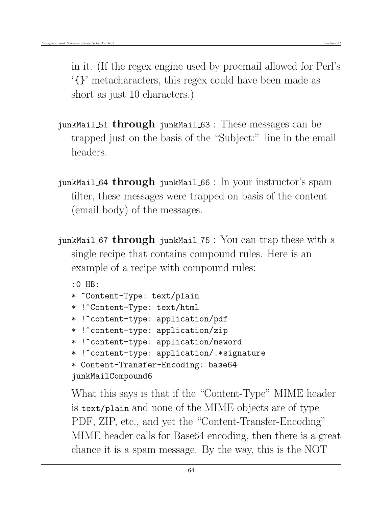in it. (If the regex engine used by procmail allowed for Perl's '{}' metacharacters, this regex could have been made as short as just 10 characters.)

- junkMail 51 through junkMail 63 : These messages can be trapped just on the basis of the "Subject:" line in the email headers.
- junkMail 64 through junkMail 66 : In your instructor's spam filter, these messages were trapped on basis of the content (email body) of the messages.
- junkMail 67 through junkMail 75 : You can trap these with a single recipe that contains compound rules. Here is an example of a recipe with compound rules:
	- :0 HB:
	- \* ^Content-Type: text/plain
	- \* !^Content-Type: text/html
	- \* !^content-type: application/pdf
	- \* !^content-type: application/zip
	- \* !^content-type: application/msword
	- \* !^content-type: application/.\*signature
	- \* Content-Transfer-Encoding: base64 junkMailCompound6

What this says is that if the "Content-Type" MIME header is text/plain and none of the MIME objects are of type PDF, ZIP, etc., and yet the "Content-Transfer-Encoding" MIME header calls for Base64 encoding, then there is a great chance it is a spam message. By the way, this is the NOT